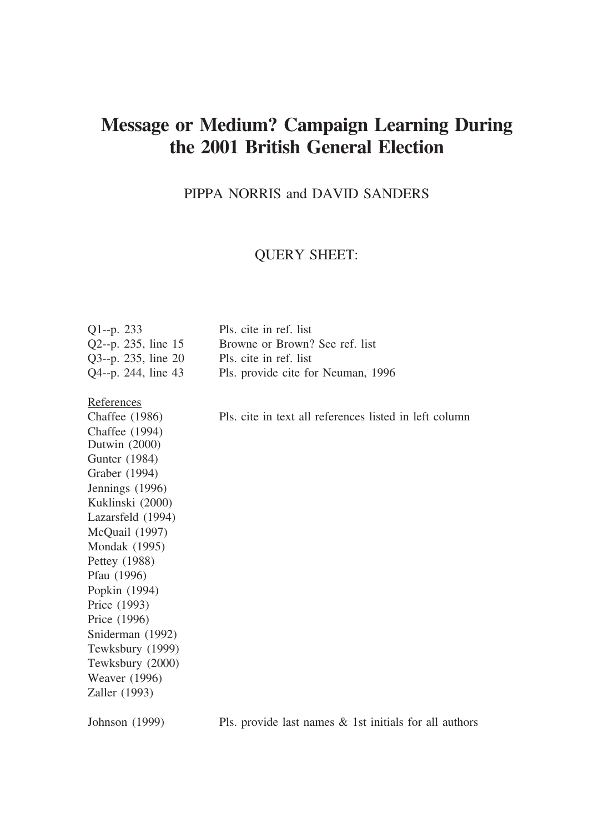# **Message or Medium? Campaign Learning During the 2001 British General Election**

PIPPA NORRIS and DAVID SANDERS

# QUERY SHEET:

| Q1--p. 233          | Pls. cite in ref. list             |
|---------------------|------------------------------------|
| Q2--p. 235, line 15 | Browne or Brown? See ref. list     |
| Q3--p. 235, line 20 | Pls. cite in ref. list             |
| Q4--p. 244, line 43 | Pls. provide cite for Neuman, 1996 |
|                     |                                    |

References

Chaffee (1986) Pls. cite in text all references listed in left column Chaffee (1994) Dutwin (2000) Gunter (1984) Graber (1994) Jennings (1996) Kuklinski (2000) Lazarsfeld (1994) McQuail (1997) Mondak (1995) Pettey (1988) Pfau (1996) Popkin (1994) Price (1993) Price (1996) Sniderman (1992) Tewksbury (1999) Tewksbury (2000) Weaver (1996) Zaller (1993)

Johnson (1999) Pls. provide last names & 1st initials for all authors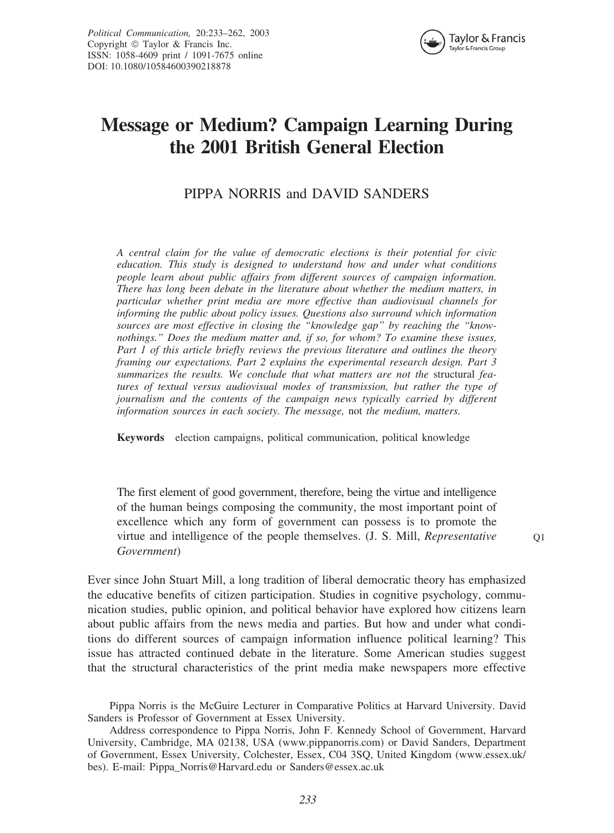

# **Message or Medium? Campaign Learning During the 2001 British General Election**

# PIPPA NORRIS and DAVID SANDERS

*A central claim for the value of democratic elections is their potential for civic education. This study is designed to understand how and under what conditions people learn about public affairs from different sources of campaign information. There has long been debate in the literature about whether the medium matters, in particular whether print media are more effective than audiovisual channels for informing the public about policy issues. Questions also surround which information sources are most effective in closing the "knowledge gap" by reaching the "knownothings." Does the medium matter and, if so, for whom? To examine these issues, Part 1 of this article briefly reviews the previous literature and outlines the theory framing our expectations. Part 2 explains the experimental research design. Part 3* summarizes the results. We conclude that what matters are not the structural fea*tures of textual versus audiovisual modes of transmission, but rather the type of journalism and the contents of the campaign news typically carried by different information sources in each society. The message,* not *the medium, matters.*

**Keywords** election campaigns, political communication, political knowledge

The first element of good government, therefore, being the virtue and intelligence of the human beings composing the community, the most important point of excellence which any form of government can possess is to promote the virtue and intelligence of the people themselves. (J. S. Mill, *Representative Government*)

 $O<sub>1</sub>$ 

Ever since John Stuart Mill, a long tradition of liberal democratic theory has emphasized the educative benefits of citizen participation. Studies in cognitive psychology, communication studies, public opinion, and political behavior have explored how citizens learn about public affairs from the news media and parties. But how and under what conditions do different sources of campaign information influence political learning? This issue has attracted continued debate in the literature. Some American studies suggest that the structural characteristics of the print media make newspapers more effective

Pippa Norris is the McGuire Lecturer in Comparative Politics at Harvard University. David Sanders is Professor of Government at Essex University.

Address correspondence to Pippa Norris, John F. Kennedy School of Government, Harvard University, Cambridge, MA 02138, USA (www.pippanorris.com) or David Sanders, Department of Government, Essex University, Colchester, Essex, C04 3SQ, United Kingdom (www.essex.uk/ bes). E-mail: Pippa\_Norris@Harvard.edu or Sanders@essex.ac.uk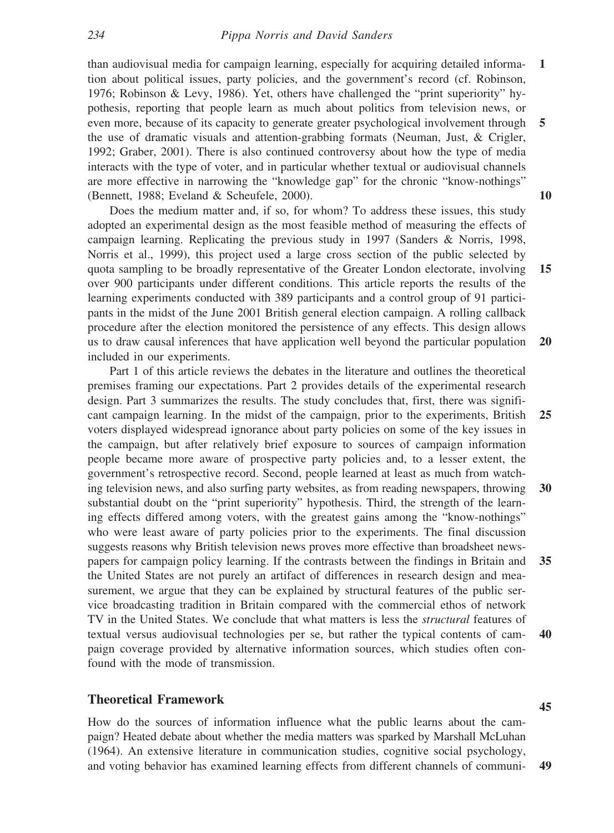**1 5 10** than audiovisual media for campaign learning, especially for acquiring detailed information about political issues, party policies, and the government's record (cf. Robinson, 1976; Robinson & Levy, 1986). Yet, others have challenged the "print superiority" hypothesis, reporting that people learn as much about politics from television news, or even more, because of its capacity to generate greater psychological involvement through the use of dramatic visuals and attention-grabbing formats (Neuman, Just, & Crigler, 1992; Graber, 2001). There is also continued controversy about how the type of media interacts with the type of voter, and in particular whether textual or audiovisual channels are more effective in narrowing the "knowledge gap" for the chronic "know-nothings" (Bennett, 1988; Eveland & Scheufele, 2000).

**15 20** Does the medium matter and, if so, for whom? To address these issues, this study adopted an experimental design as the most feasible method of measuring the effects of campaign learning. Replicating the previous study in 1997 (Sanders & Norris, 1998, Norris et al., 1999), this project used a large cross section of the public selected by quota sampling to be broadly representative of the Greater London electorate, involving over 900 participants under different conditions. This article reports the results of the learning experiments conducted with 389 participants and a control group of 91 participants in the midst of the June 2001 British general election campaign. A rolling callback procedure after the election monitored the persistence of any effects. This design allows us to draw causal inferences that have application well beyond the particular population included in our experiments.

**25 30 35 40** Part 1 of this article reviews the debates in the literature and outlines the theoretical premises framing our expectations. Part 2 provides details of the experimental research design. Part 3 summarizes the results. The study concludes that, first, there was significant campaign learning. In the midst of the campaign, prior to the experiments, British voters displayed widespread ignorance about party policies on some of the key issues in the campaign, but after relatively brief exposure to sources of campaign information people became more aware of prospective party policies and, to a lesser extent, the government's retrospective record. Second, people learned at least as much from watching television news, and also surfing party websites, as from reading newspapers, throwing substantial doubt on the "print superiority" hypothesis. Third, the strength of the learning effects differed among voters, with the greatest gains among the "know-nothings" who were least aware of party policies prior to the experiments. The final discussion suggests reasons why British television news proves more effective than broadsheet newspapers for campaign policy learning. If the contrasts between the findings in Britain and the United States are not purely an artifact of differences in research design and measurement, we argue that they can be explained by structural features of the public service broadcasting tradition in Britain compared with the commercial ethos of network TV in the United States. We conclude that what matters is less the *structural* features of textual versus audiovisual technologies per se, but rather the typical contents of campaign coverage provided by alternative information sources, which studies often confound with the mode of transmission.

# **Theoretical Framework**

**49** How do the sources of information influence what the public learns about the campaign? Heated debate about whether the media matters was sparked by Marshall McLuhan (1964). An extensive literature in communication studies, cognitive social psychology, and voting behavior has examined learning effects from different channels of communi-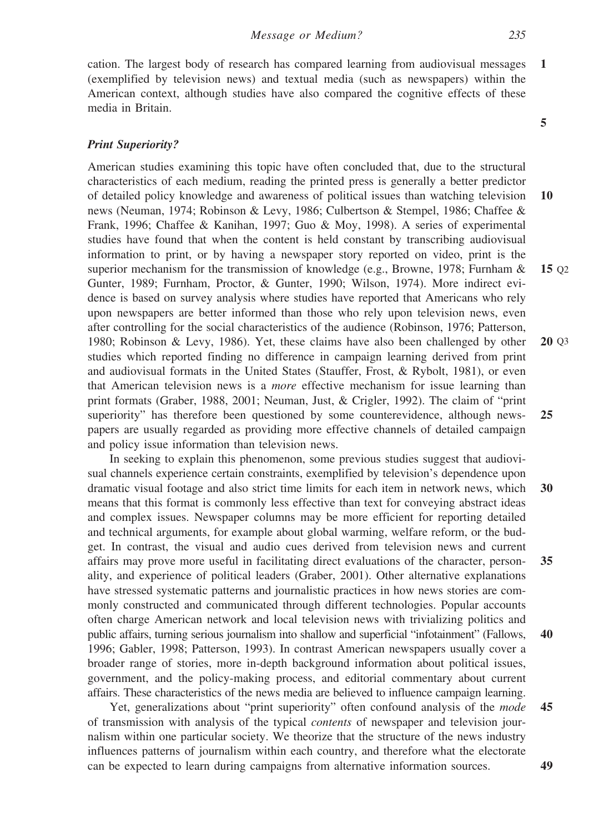**1** cation. The largest body of research has compared learning from audiovisual messages (exemplified by television news) and textual media (such as newspapers) within the American context, although studies have also compared the cognitive effects of these media in Britain.

# *Print Superiority?*

**10 15** Q2 **25** American studies examining this topic have often concluded that, due to the structural characteristics of each medium, reading the printed press is generally a better predictor of detailed policy knowledge and awareness of political issues than watching television news (Neuman, 1974; Robinson & Levy, 1986; Culbertson & Stempel, 1986; Chaffee & Frank, 1996; Chaffee & Kanihan, 1997; Guo & Moy, 1998). A series of experimental studies have found that when the content is held constant by transcribing audiovisual information to print, or by having a newspaper story reported on video, print is the superior mechanism for the transmission of knowledge (e.g., Browne, 1978; Furnham & Gunter, 1989; Furnham, Proctor, & Gunter, 1990; Wilson, 1974). More indirect evidence is based on survey analysis where studies have reported that Americans who rely upon newspapers are better informed than those who rely upon television news, even after controlling for the social characteristics of the audience (Robinson, 1976; Patterson, 1980; Robinson & Levy, 1986). Yet, these claims have also been challenged by other studies which reported finding no difference in campaign learning derived from print and audiovisual formats in the United States (Stauffer, Frost, & Rybolt, 1981), or even that American television news is a *more* effective mechanism for issue learning than print formats (Graber, 1988, 2001; Neuman, Just, & Crigler, 1992). The claim of "print superiority" has therefore been questioned by some counterevidence, although newspapers are usually regarded as providing more effective channels of detailed campaign and policy issue information than television news.

**30 35 40** In seeking to explain this phenomenon, some previous studies suggest that audiovisual channels experience certain constraints, exemplified by television's dependence upon dramatic visual footage and also strict time limits for each item in network news, which means that this format is commonly less effective than text for conveying abstract ideas and complex issues. Newspaper columns may be more efficient for reporting detailed and technical arguments, for example about global warming, welfare reform, or the budget. In contrast, the visual and audio cues derived from television news and current affairs may prove more useful in facilitating direct evaluations of the character, personality, and experience of political leaders (Graber, 2001). Other alternative explanations have stressed systematic patterns and journalistic practices in how news stories are commonly constructed and communicated through different technologies. Popular accounts often charge American network and local television news with trivializing politics and public affairs, turning serious journalism into shallow and superficial "infotainment" (Fallows, 1996; Gabler, 1998; Patterson, 1993). In contrast American newspapers usually cover a broader range of stories, more in-depth background information about political issues, government, and the policy-making process, and editorial commentary about current affairs. These characteristics of the news media are believed to influence campaign learning.

**45 49** Yet, generalizations about "print superiority" often confound analysis of the *mode* of transmission with analysis of the typical *contents* of newspaper and television journalism within one particular society. We theorize that the structure of the news industry influences patterns of journalism within each country, and therefore what the electorate can be expected to learn during campaigns from alternative information sources.

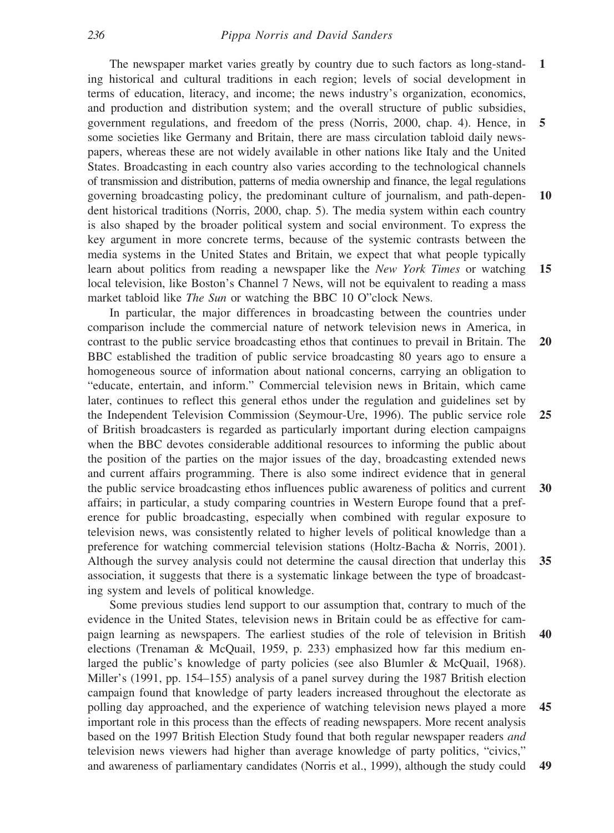**1 5 10 15** The newspaper market varies greatly by country due to such factors as long-standing historical and cultural traditions in each region; levels of social development in terms of education, literacy, and income; the news industry's organization, economics, and production and distribution system; and the overall structure of public subsidies, government regulations, and freedom of the press (Norris, 2000, chap. 4). Hence, in some societies like Germany and Britain, there are mass circulation tabloid daily newspapers, whereas these are not widely available in other nations like Italy and the United States. Broadcasting in each country also varies according to the technological channels of transmission and distribution, patterns of media ownership and finance, the legal regulations governing broadcasting policy, the predominant culture of journalism, and path-dependent historical traditions (Norris, 2000, chap. 5). The media system within each country is also shaped by the broader political system and social environment. To express the key argument in more concrete terms, because of the systemic contrasts between the media systems in the United States and Britain, we expect that what people typically learn about politics from reading a newspaper like the *New York Times* or watching local television, like Boston's Channel 7 News, will not be equivalent to reading a mass market tabloid like *The Sun* or watching the BBC 10 O"clock News.

**20 25 30 35** In particular, the major differences in broadcasting between the countries under comparison include the commercial nature of network television news in America, in contrast to the public service broadcasting ethos that continues to prevail in Britain. The BBC established the tradition of public service broadcasting 80 years ago to ensure a homogeneous source of information about national concerns, carrying an obligation to "educate, entertain, and inform." Commercial television news in Britain, which came later, continues to reflect this general ethos under the regulation and guidelines set by the Independent Television Commission (Seymour-Ure, 1996). The public service role of British broadcasters is regarded as particularly important during election campaigns when the BBC devotes considerable additional resources to informing the public about the position of the parties on the major issues of the day, broadcasting extended news and current affairs programming. There is also some indirect evidence that in general the public service broadcasting ethos influences public awareness of politics and current affairs; in particular, a study comparing countries in Western Europe found that a preference for public broadcasting, especially when combined with regular exposure to television news, was consistently related to higher levels of political knowledge than a preference for watching commercial television stations (Holtz-Bacha & Norris, 2001). Although the survey analysis could not determine the causal direction that underlay this association, it suggests that there is a systematic linkage between the type of broadcasting system and levels of political knowledge.

**40 45 49** Some previous studies lend support to our assumption that, contrary to much of the evidence in the United States, television news in Britain could be as effective for campaign learning as newspapers. The earliest studies of the role of television in British elections (Trenaman & McQuail, 1959, p. 233) emphasized how far this medium enlarged the public's knowledge of party policies (see also Blumler & McQuail, 1968). Miller's (1991, pp. 154–155) analysis of a panel survey during the 1987 British election campaign found that knowledge of party leaders increased throughout the electorate as polling day approached, and the experience of watching television news played a more important role in this process than the effects of reading newspapers. More recent analysis based on the 1997 British Election Study found that both regular newspaper readers *and* television news viewers had higher than average knowledge of party politics, "civics," and awareness of parliamentary candidates (Norris et al., 1999), although the study could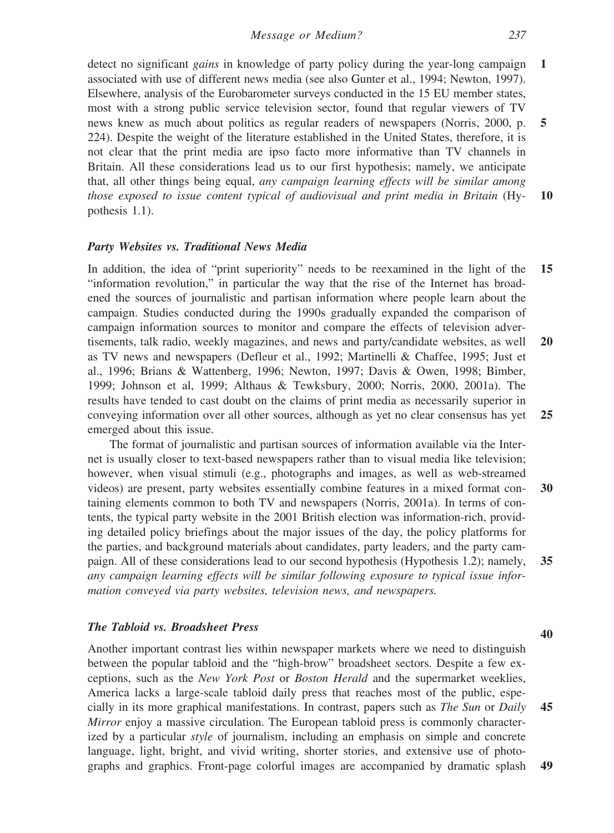**1 5 10** detect no significant *gains* in knowledge of party policy during the year-long campaign associated with use of different news media (see also Gunter et al., 1994; Newton, 1997). Elsewhere, analysis of the Eurobarometer surveys conducted in the 15 EU member states, most with a strong public service television sector, found that regular viewers of TV news knew as much about politics as regular readers of newspapers (Norris, 2000, p. 224). Despite the weight of the literature established in the United States, therefore, it is not clear that the print media are ipso facto more informative than TV channels in Britain. All these considerations lead us to our first hypothesis; namely, we anticipate that, all other things being equal, *any campaign learning effects will be similar among those exposed to issue content typical of audiovisual and print media in Britain* (Hypothesis 1.1).

#### *Party Websites vs. Traditional News Media*

**15 20 25** In addition, the idea of "print superiority" needs to be reexamined in the light of the "information revolution," in particular the way that the rise of the Internet has broadened the sources of journalistic and partisan information where people learn about the campaign. Studies conducted during the 1990s gradually expanded the comparison of campaign information sources to monitor and compare the effects of television advertisements, talk radio, weekly magazines, and news and party/candidate websites, as well as TV news and newspapers (Defleur et al., 1992; Martinelli & Chaffee, 1995; Just et al., 1996; Brians & Wattenberg, 1996; Newton, 1997; Davis & Owen, 1998; Bimber, 1999; Johnson et al, 1999; Althaus & Tewksbury, 2000; Norris, 2000, 2001a). The results have tended to cast doubt on the claims of print media as necessarily superior in conveying information over all other sources, although as yet no clear consensus has yet emerged about this issue.

**30 35** The format of journalistic and partisan sources of information available via the Internet is usually closer to text-based newspapers rather than to visual media like television; however, when visual stimuli (e.g., photographs and images, as well as web-streamed videos) are present, party websites essentially combine features in a mixed format containing elements common to both TV and newspapers (Norris, 2001a). In terms of contents, the typical party website in the 2001 British election was information-rich, providing detailed policy briefings about the major issues of the day, the policy platforms for the parties, and background materials about candidates, party leaders, and the party campaign. All of these considerations lead to our second hypothesis (Hypothesis 1.2); namely, *any campaign learning effects will be similar following exposure to typical issue information conveyed via party websites, television news, and newspapers.*

# *The Tabloid vs. Broadsheet Press*

**45 49** Another important contrast lies within newspaper markets where we need to distinguish between the popular tabloid and the "high-brow" broadsheet sectors. Despite a few exceptions, such as the *New York Post* or *Boston Herald* and the supermarket weeklies, America lacks a large-scale tabloid daily press that reaches most of the public, especially in its more graphical manifestations. In contrast, papers such as *The Sun* or *Daily Mirror* enjoy a massive circulation. The European tabloid press is commonly characterized by a particular *style* of journalism, including an emphasis on simple and concrete language, light, bright, and vivid writing, shorter stories, and extensive use of photographs and graphics. Front-page colorful images are accompanied by dramatic splash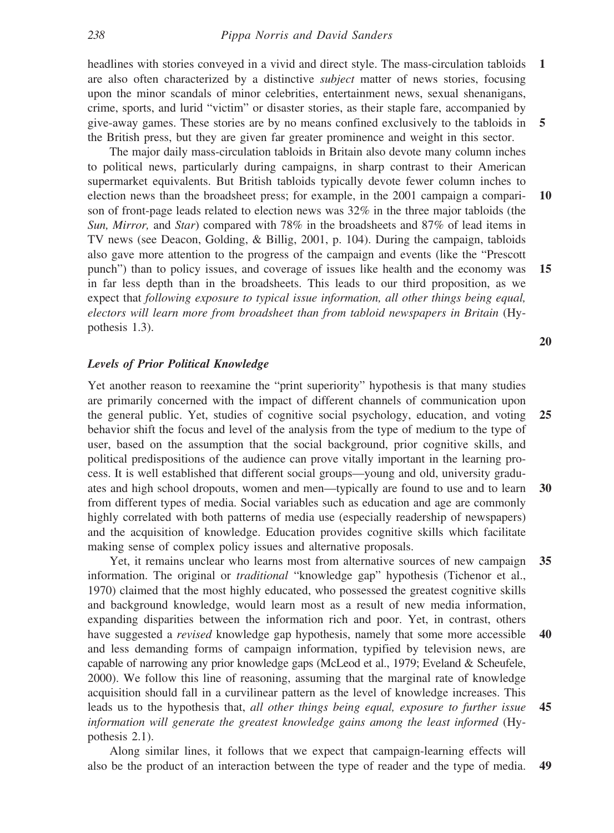**1 5** headlines with stories conveyed in a vivid and direct style. The mass-circulation tabloids are also often characterized by a distinctive *subject* matter of news stories, focusing upon the minor scandals of minor celebrities, entertainment news, sexual shenanigans, crime, sports, and lurid "victim" or disaster stories, as their staple fare, accompanied by give-away games. These stories are by no means confined exclusively to the tabloids in the British press, but they are given far greater prominence and weight in this sector.

**10 15** The major daily mass-circulation tabloids in Britain also devote many column inches to political news, particularly during campaigns, in sharp contrast to their American supermarket equivalents. But British tabloids typically devote fewer column inches to election news than the broadsheet press; for example, in the 2001 campaign a comparison of front-page leads related to election news was 32% in the three major tabloids (the *Sun, Mirror,* and *Star*) compared with 78% in the broadsheets and 87% of lead items in TV news (see Deacon, Golding, & Billig, 2001, p. 104). During the campaign, tabloids also gave more attention to the progress of the campaign and events (like the "Prescott punch") than to policy issues, and coverage of issues like health and the economy was in far less depth than in the broadsheets. This leads to our third proposition, as we expect that *following exposure to typical issue information, all other things being equal, electors will learn more from broadsheet than from tabloid newspapers in Britain* (Hypothesis 1.3).

*Levels of Prior Political Knowledge*

**25 30** Yet another reason to reexamine the "print superiority" hypothesis is that many studies are primarily concerned with the impact of different channels of communication upon the general public. Yet, studies of cognitive social psychology, education, and voting behavior shift the focus and level of the analysis from the type of medium to the type of user, based on the assumption that the social background, prior cognitive skills, and political predispositions of the audience can prove vitally important in the learning process. It is well established that different social groups—young and old, university graduates and high school dropouts, women and men—typically are found to use and to learn from different types of media. Social variables such as education and age are commonly highly correlated with both patterns of media use (especially readership of newspapers) and the acquisition of knowledge. Education provides cognitive skills which facilitate making sense of complex policy issues and alternative proposals.

**35 40 45** Yet, it remains unclear who learns most from alternative sources of new campaign information. The original or *traditional* "knowledge gap" hypothesis (Tichenor et al., 1970) claimed that the most highly educated, who possessed the greatest cognitive skills and background knowledge, would learn most as a result of new media information, expanding disparities between the information rich and poor. Yet, in contrast, others have suggested a *revised* knowledge gap hypothesis, namely that some more accessible and less demanding forms of campaign information, typified by television news, are capable of narrowing any prior knowledge gaps (McLeod et al., 1979; Eveland & Scheufele, 2000). We follow this line of reasoning, assuming that the marginal rate of knowledge acquisition should fall in a curvilinear pattern as the level of knowledge increases. This leads us to the hypothesis that, *all other things being equal, exposure to further issue information will generate the greatest knowledge gains among the least informed* (Hypothesis 2.1).

**49** Along similar lines, it follows that we expect that campaign-learning effects will also be the product of an interaction between the type of reader and the type of media.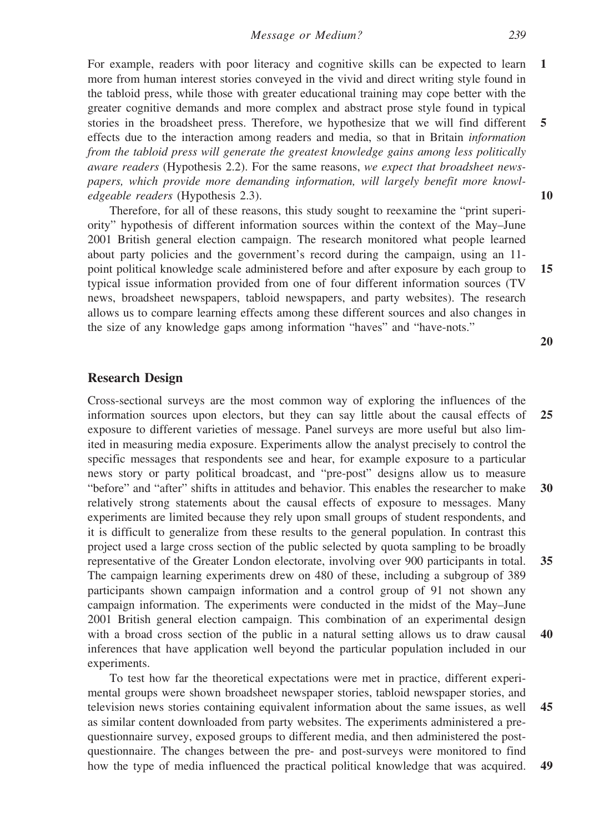**1 5 10** For example, readers with poor literacy and cognitive skills can be expected to learn more from human interest stories conveyed in the vivid and direct writing style found in the tabloid press, while those with greater educational training may cope better with the greater cognitive demands and more complex and abstract prose style found in typical stories in the broadsheet press. Therefore, we hypothesize that we will find different effects due to the interaction among readers and media, so that in Britain *information from the tabloid press will generate the greatest knowledge gains among less politically aware readers* (Hypothesis 2.2). For the same reasons, *we expect that broadsheet newspapers, which provide more demanding information, will largely benefit more knowledgeable readers* (Hypothesis 2.3).

**15** Therefore, for all of these reasons, this study sought to reexamine the "print superiority" hypothesis of different information sources within the context of the May–June 2001 British general election campaign. The research monitored what people learned about party policies and the government's record during the campaign, using an 11 point political knowledge scale administered before and after exposure by each group to typical issue information provided from one of four different information sources (TV news, broadsheet newspapers, tabloid newspapers, and party websites). The research allows us to compare learning effects among these different sources and also changes in the size of any knowledge gaps among information "haves" and "have-nots."

**20**

# **Research Design**

**25 30 35 40** Cross-sectional surveys are the most common way of exploring the influences of the information sources upon electors, but they can say little about the causal effects of exposure to different varieties of message. Panel surveys are more useful but also limited in measuring media exposure. Experiments allow the analyst precisely to control the specific messages that respondents see and hear, for example exposure to a particular news story or party political broadcast, and "pre-post" designs allow us to measure "before" and "after" shifts in attitudes and behavior. This enables the researcher to make relatively strong statements about the causal effects of exposure to messages. Many experiments are limited because they rely upon small groups of student respondents, and it is difficult to generalize from these results to the general population. In contrast this project used a large cross section of the public selected by quota sampling to be broadly representative of the Greater London electorate, involving over 900 participants in total. The campaign learning experiments drew on 480 of these, including a subgroup of 389 participants shown campaign information and a control group of 91 not shown any campaign information. The experiments were conducted in the midst of the May–June 2001 British general election campaign. This combination of an experimental design with a broad cross section of the public in a natural setting allows us to draw causal inferences that have application well beyond the particular population included in our experiments.

**45 49** To test how far the theoretical expectations were met in practice, different experimental groups were shown broadsheet newspaper stories, tabloid newspaper stories, and television news stories containing equivalent information about the same issues, as well as similar content downloaded from party websites. The experiments administered a prequestionnaire survey, exposed groups to different media, and then administered the postquestionnaire. The changes between the pre- and post-surveys were monitored to find how the type of media influenced the practical political knowledge that was acquired.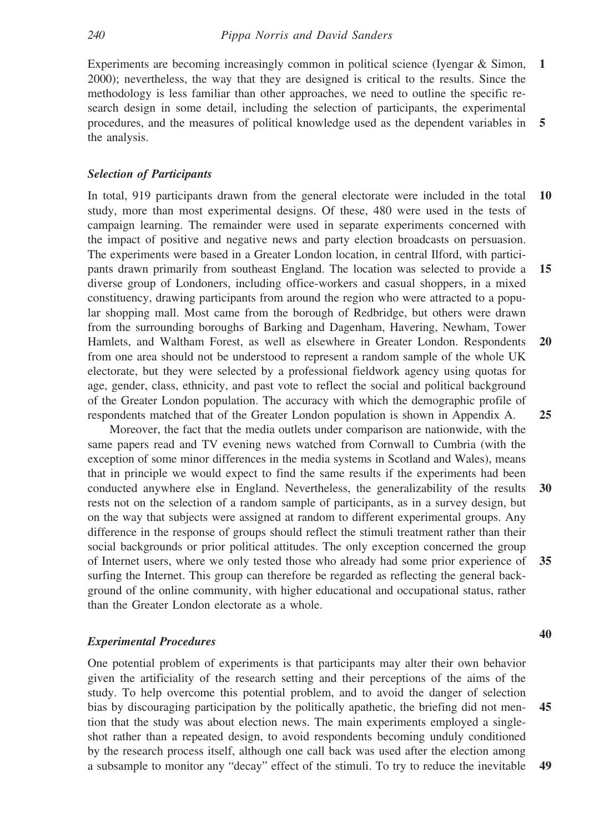**1 5** Experiments are becoming increasingly common in political science (Iyengar & Simon, 2000); nevertheless, the way that they are designed is critical to the results. Since the methodology is less familiar than other approaches, we need to outline the specific research design in some detail, including the selection of participants, the experimental procedures, and the measures of political knowledge used as the dependent variables in the analysis.

# *Selection of Participants*

**10 15 20 25** In total, 919 participants drawn from the general electorate were included in the total study, more than most experimental designs. Of these, 480 were used in the tests of campaign learning. The remainder were used in separate experiments concerned with the impact of positive and negative news and party election broadcasts on persuasion. The experiments were based in a Greater London location, in central Ilford, with participants drawn primarily from southeast England. The location was selected to provide a diverse group of Londoners, including office-workers and casual shoppers, in a mixed constituency, drawing participants from around the region who were attracted to a popular shopping mall. Most came from the borough of Redbridge, but others were drawn from the surrounding boroughs of Barking and Dagenham, Havering, Newham, Tower Hamlets, and Waltham Forest, as well as elsewhere in Greater London. Respondents from one area should not be understood to represent a random sample of the whole UK electorate, but they were selected by a professional fieldwork agency using quotas for age, gender, class, ethnicity, and past vote to reflect the social and political background of the Greater London population. The accuracy with which the demographic profile of respondents matched that of the Greater London population is shown in Appendix A.

**30 35** Moreover, the fact that the media outlets under comparison are nationwide, with the same papers read and TV evening news watched from Cornwall to Cumbria (with the exception of some minor differences in the media systems in Scotland and Wales), means that in principle we would expect to find the same results if the experiments had been conducted anywhere else in England. Nevertheless, the generalizability of the results rests not on the selection of a random sample of participants, as in a survey design, but on the way that subjects were assigned at random to different experimental groups. Any difference in the response of groups should reflect the stimuli treatment rather than their social backgrounds or prior political attitudes. The only exception concerned the group of Internet users, where we only tested those who already had some prior experience of surfing the Internet. This group can therefore be regarded as reflecting the general background of the online community, with higher educational and occupational status, rather than the Greater London electorate as a whole.

#### *Experimental Procedures*

**45 49** One potential problem of experiments is that participants may alter their own behavior given the artificiality of the research setting and their perceptions of the aims of the study. To help overcome this potential problem, and to avoid the danger of selection bias by discouraging participation by the politically apathetic, the briefing did not mention that the study was about election news. The main experiments employed a singleshot rather than a repeated design, to avoid respondents becoming unduly conditioned by the research process itself, although one call back was used after the election among a subsample to monitor any "decay" effect of the stimuli. To try to reduce the inevitable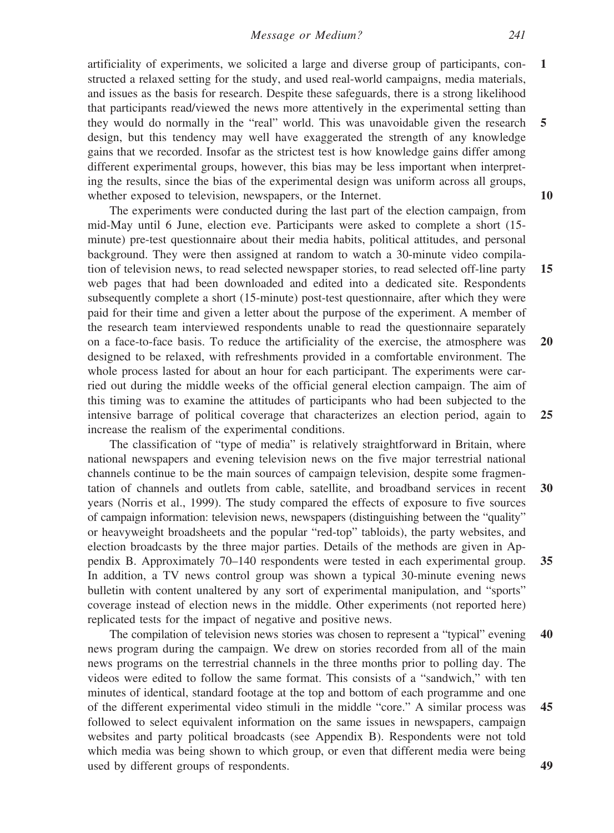**1 5 10** artificiality of experiments, we solicited a large and diverse group of participants, constructed a relaxed setting for the study, and used real-world campaigns, media materials, and issues as the basis for research. Despite these safeguards, there is a strong likelihood that participants read/viewed the news more attentively in the experimental setting than they would do normally in the "real" world. This was unavoidable given the research design, but this tendency may well have exaggerated the strength of any knowledge gains that we recorded. Insofar as the strictest test is how knowledge gains differ among different experimental groups, however, this bias may be less important when interpreting the results, since the bias of the experimental design was uniform across all groups, whether exposed to television, newspapers, or the Internet.

**15 20 25** The experiments were conducted during the last part of the election campaign, from mid-May until 6 June, election eve. Participants were asked to complete a short (15 minute) pre-test questionnaire about their media habits, political attitudes, and personal background. They were then assigned at random to watch a 30-minute video compilation of television news, to read selected newspaper stories, to read selected off-line party web pages that had been downloaded and edited into a dedicated site. Respondents subsequently complete a short (15-minute) post-test questionnaire, after which they were paid for their time and given a letter about the purpose of the experiment. A member of the research team interviewed respondents unable to read the questionnaire separately on a face-to-face basis. To reduce the artificiality of the exercise, the atmosphere was designed to be relaxed, with refreshments provided in a comfortable environment. The whole process lasted for about an hour for each participant. The experiments were carried out during the middle weeks of the official general election campaign. The aim of this timing was to examine the attitudes of participants who had been subjected to the intensive barrage of political coverage that characterizes an election period, again to increase the realism of the experimental conditions.

**30 35** The classification of "type of media" is relatively straightforward in Britain, where national newspapers and evening television news on the five major terrestrial national channels continue to be the main sources of campaign television, despite some fragmentation of channels and outlets from cable, satellite, and broadband services in recent years (Norris et al., 1999). The study compared the effects of exposure to five sources of campaign information: television news, newspapers (distinguishing between the "quality" or heavyweight broadsheets and the popular "red-top" tabloids), the party websites, and election broadcasts by the three major parties. Details of the methods are given in Appendix B. Approximately 70–140 respondents were tested in each experimental group. In addition, a TV news control group was shown a typical 30-minute evening news bulletin with content unaltered by any sort of experimental manipulation, and "sports" coverage instead of election news in the middle. Other experiments (not reported here) replicated tests for the impact of negative and positive news.

**40 45 49** The compilation of television news stories was chosen to represent a "typical" evening news program during the campaign. We drew on stories recorded from all of the main news programs on the terrestrial channels in the three months prior to polling day. The videos were edited to follow the same format. This consists of a "sandwich," with ten minutes of identical, standard footage at the top and bottom of each programme and one of the different experimental video stimuli in the middle "core." A similar process was followed to select equivalent information on the same issues in newspapers, campaign websites and party political broadcasts (see Appendix B). Respondents were not told which media was being shown to which group, or even that different media were being used by different groups of respondents.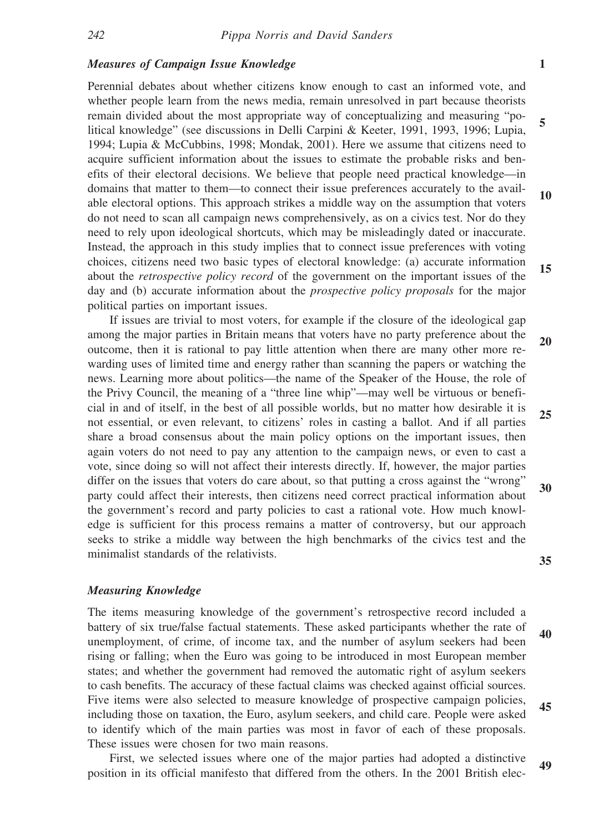# *Measures of Campaign Issue Knowledge*

**5 10 15** Perennial debates about whether citizens know enough to cast an informed vote, and whether people learn from the news media, remain unresolved in part because theorists remain divided about the most appropriate way of conceptualizing and measuring "political knowledge" (see discussions in Delli Carpini & Keeter, 1991, 1993, 1996; Lupia, 1994; Lupia & McCubbins, 1998; Mondak, 2001). Here we assume that citizens need to acquire sufficient information about the issues to estimate the probable risks and benefits of their electoral decisions. We believe that people need practical knowledge—in domains that matter to them—to connect their issue preferences accurately to the available electoral options. This approach strikes a middle way on the assumption that voters do not need to scan all campaign news comprehensively, as on a civics test. Nor do they need to rely upon ideological shortcuts, which may be misleadingly dated or inaccurate. Instead, the approach in this study implies that to connect issue preferences with voting choices, citizens need two basic types of electoral knowledge: (a) accurate information about the *retrospective policy record* of the government on the important issues of the day and (b) accurate information about the *prospective policy proposals* for the major political parties on important issues.

**20 25 30** If issues are trivial to most voters, for example if the closure of the ideological gap among the major parties in Britain means that voters have no party preference about the outcome, then it is rational to pay little attention when there are many other more rewarding uses of limited time and energy rather than scanning the papers or watching the news. Learning more about politics—the name of the Speaker of the House, the role of the Privy Council, the meaning of a "three line whip"—may well be virtuous or beneficial in and of itself, in the best of all possible worlds, but no matter how desirable it is not essential, or even relevant, to citizens' roles in casting a ballot. And if all parties share a broad consensus about the main policy options on the important issues, then again voters do not need to pay any attention to the campaign news, or even to cast a vote, since doing so will not affect their interests directly. If, however, the major parties differ on the issues that voters do care about, so that putting a cross against the "wrong" party could affect their interests, then citizens need correct practical information about the government's record and party policies to cast a rational vote. How much knowledge is sufficient for this process remains a matter of controversy, but our approach seeks to strike a middle way between the high benchmarks of the civics test and the minimalist standards of the relativists.

#### *Measuring Knowledge*

**40 45** The items measuring knowledge of the government's retrospective record included a battery of six true/false factual statements. These asked participants whether the rate of unemployment, of crime, of income tax, and the number of asylum seekers had been rising or falling; when the Euro was going to be introduced in most European member states; and whether the government had removed the automatic right of asylum seekers to cash benefits. The accuracy of these factual claims was checked against official sources. Five items were also selected to measure knowledge of prospective campaign policies, including those on taxation, the Euro, asylum seekers, and child care. People were asked to identify which of the main parties was most in favor of each of these proposals. These issues were chosen for two main reasons.

**49** First, we selected issues where one of the major parties had adopted a distinctive position in its official manifesto that differed from the others. In the 2001 British elec-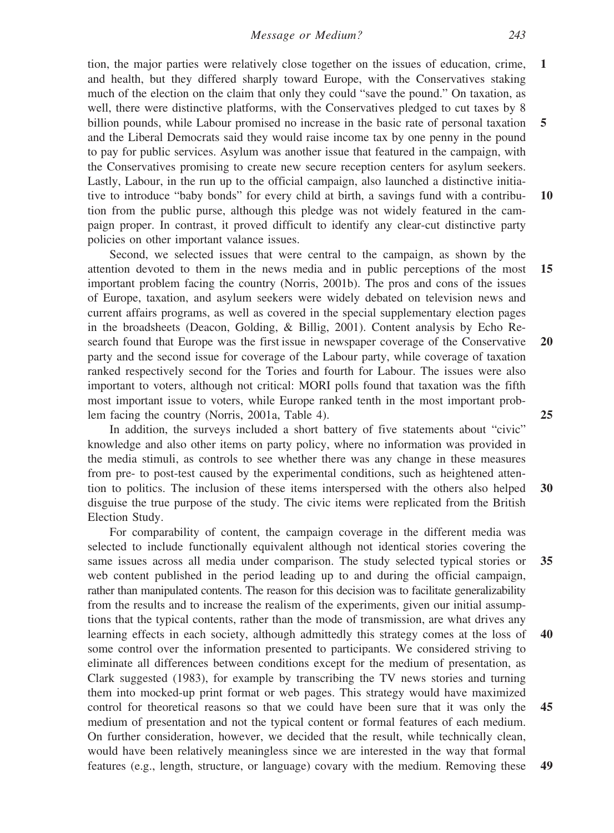**1 5 10** tion, the major parties were relatively close together on the issues of education, crime, and health, but they differed sharply toward Europe, with the Conservatives staking much of the election on the claim that only they could "save the pound." On taxation, as well, there were distinctive platforms, with the Conservatives pledged to cut taxes by 8 billion pounds, while Labour promised no increase in the basic rate of personal taxation and the Liberal Democrats said they would raise income tax by one penny in the pound to pay for public services. Asylum was another issue that featured in the campaign, with the Conservatives promising to create new secure reception centers for asylum seekers. Lastly, Labour, in the run up to the official campaign, also launched a distinctive initiative to introduce "baby bonds" for every child at birth, a savings fund with a contribution from the public purse, although this pledge was not widely featured in the campaign proper. In contrast, it proved difficult to identify any clear-cut distinctive party policies on other important valance issues.

**15 20 25** Second, we selected issues that were central to the campaign, as shown by the attention devoted to them in the news media and in public perceptions of the most important problem facing the country (Norris, 2001b). The pros and cons of the issues of Europe, taxation, and asylum seekers were widely debated on television news and current affairs programs, as well as covered in the special supplementary election pages in the broadsheets (Deacon, Golding, & Billig, 2001). Content analysis by Echo Research found that Europe was the first issue in newspaper coverage of the Conservative party and the second issue for coverage of the Labour party, while coverage of taxation ranked respectively second for the Tories and fourth for Labour. The issues were also important to voters, although not critical: MORI polls found that taxation was the fifth most important issue to voters, while Europe ranked tenth in the most important problem facing the country (Norris, 2001a, Table 4).

**30** In addition, the surveys included a short battery of five statements about "civic" knowledge and also other items on party policy, where no information was provided in the media stimuli, as controls to see whether there was any change in these measures from pre- to post-test caused by the experimental conditions, such as heightened attention to politics. The inclusion of these items interspersed with the others also helped disguise the true purpose of the study. The civic items were replicated from the British Election Study.

**35 40 45 49** For comparability of content, the campaign coverage in the different media was selected to include functionally equivalent although not identical stories covering the same issues across all media under comparison. The study selected typical stories or web content published in the period leading up to and during the official campaign, rather than manipulated contents. The reason for this decision was to facilitate generalizability from the results and to increase the realism of the experiments, given our initial assumptions that the typical contents, rather than the mode of transmission, are what drives any learning effects in each society, although admittedly this strategy comes at the loss of some control over the information presented to participants. We considered striving to eliminate all differences between conditions except for the medium of presentation, as Clark suggested (1983), for example by transcribing the TV news stories and turning them into mocked-up print format or web pages. This strategy would have maximized control for theoretical reasons so that we could have been sure that it was only the medium of presentation and not the typical content or formal features of each medium. On further consideration, however, we decided that the result, while technically clean, would have been relatively meaningless since we are interested in the way that formal features (e.g., length, structure, or language) covary with the medium. Removing these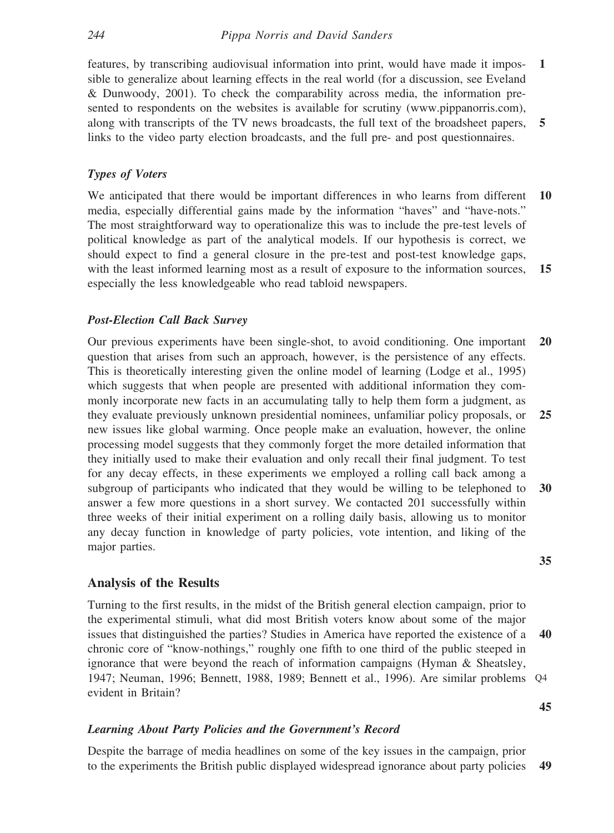**1 5** features, by transcribing audiovisual information into print, would have made it impossible to generalize about learning effects in the real world (for a discussion, see Eveland & Dunwoody, 2001). To check the comparability across media, the information presented to respondents on the websites is available for scrutiny (www.pippanorris.com), along with transcripts of the TV news broadcasts, the full text of the broadsheet papers, links to the video party election broadcasts, and the full pre- and post questionnaires.

# *Types of Voters*

**10 15** We anticipated that there would be important differences in who learns from different media, especially differential gains made by the information "haves" and "have-nots." The most straightforward way to operationalize this was to include the pre-test levels of political knowledge as part of the analytical models. If our hypothesis is correct, we should expect to find a general closure in the pre-test and post-test knowledge gaps, with the least informed learning most as a result of exposure to the information sources, especially the less knowledgeable who read tabloid newspapers.

# *Post-Election Call Back Survey*

**20 25 30** Our previous experiments have been single-shot, to avoid conditioning. One important question that arises from such an approach, however, is the persistence of any effects. This is theoretically interesting given the online model of learning (Lodge et al., 1995) which suggests that when people are presented with additional information they commonly incorporate new facts in an accumulating tally to help them form a judgment, as they evaluate previously unknown presidential nominees, unfamiliar policy proposals, or new issues like global warming. Once people make an evaluation, however, the online processing model suggests that they commonly forget the more detailed information that they initially used to make their evaluation and only recall their final judgment. To test for any decay effects, in these experiments we employed a rolling call back among a subgroup of participants who indicated that they would be willing to be telephoned to answer a few more questions in a short survey. We contacted 201 successfully within three weeks of their initial experiment on a rolling daily basis, allowing us to monitor any decay function in knowledge of party policies, vote intention, and liking of the major parties.

# **Analysis of the Results**

**40** Turning to the first results, in the midst of the British general election campaign, prior to the experimental stimuli, what did most British voters know about some of the major issues that distinguished the parties? Studies in America have reported the existence of a chronic core of "know-nothings," roughly one fifth to one third of the public steeped in ignorance that were beyond the reach of information campaigns (Hyman & Sheatsley, 1947; Neuman, 1996; Bennett, 1988, 1989; Bennett et al., 1996). Are similar problems Q4evident in Britain?

#### *Learning About Party Policies and the Government's Record*

**49** Despite the barrage of media headlines on some of the key issues in the campaign, prior to the experiments the British public displayed widespread ignorance about party policies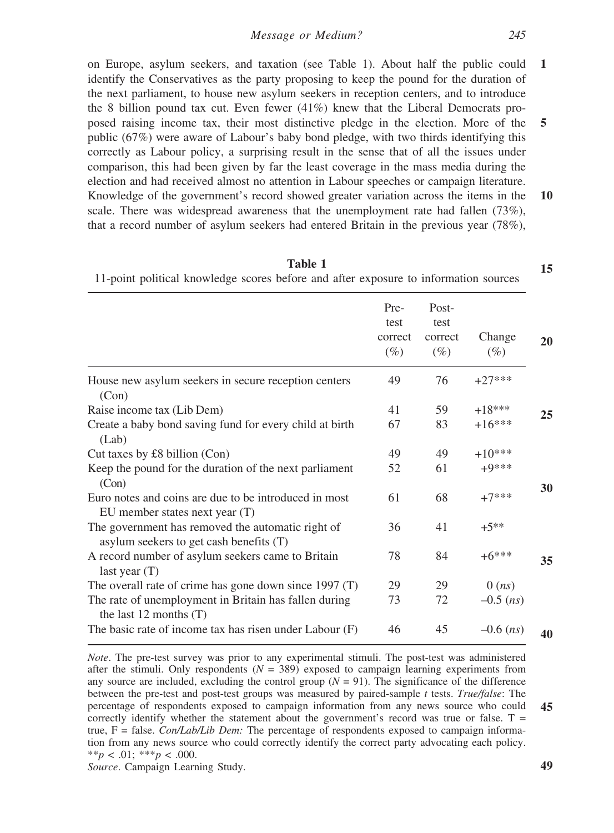**1 5 10** on Europe, asylum seekers, and taxation (see Table 1). About half the public could identify the Conservatives as the party proposing to keep the pound for the duration of the next parliament, to house new asylum seekers in reception centers, and to introduce the 8 billion pound tax cut. Even fewer (41%) knew that the Liberal Democrats proposed raising income tax, their most distinctive pledge in the election. More of the public (67%) were aware of Labour's baby bond pledge, with two thirds identifying this correctly as Labour policy, a surprising result in the sense that of all the issues under comparison, this had been given by far the least coverage in the mass media during the election and had received almost no attention in Labour speeches or campaign literature. Knowledge of the government's record showed greater variation across the items in the scale. There was widespread awareness that the unemployment rate had fallen (73%), that a record number of asylum seekers had entered Britain in the previous year (78%),

**Table 1**

|                                                                                              | Pre-<br>test<br>correct<br>$(\%)$ | Post-<br>test<br>correct<br>$(\%)$ | Change<br>$(\%)$     |
|----------------------------------------------------------------------------------------------|-----------------------------------|------------------------------------|----------------------|
| House new asylum seekers in secure reception centers<br>(Con)                                | 49                                | 76                                 | $+27***$             |
| Raise income tax (Lib Dem)                                                                   | 41                                | 59                                 | $+18***$             |
| Create a baby bond saving fund for every child at birth<br>(Lab)                             | 67                                | 83                                 | $+16***$             |
| Cut taxes by £8 billion (Con)                                                                | 49                                | 49                                 | $+10***$             |
| Keep the pound for the duration of the next parliament<br>(Con)                              | 52                                | 61                                 | $+9***$              |
| Euro notes and coins are due to be introduced in most<br>EU member states next year (T)      | 61                                | 68                                 | $+7***$              |
| The government has removed the automatic right of<br>asylum seekers to get cash benefits (T) | 36                                | 41                                 | $+5**$               |
| A record number of asylum seekers came to Britain<br>last year $(T)$                         | 78                                | 84                                 | $+6***$              |
| The overall rate of crime has gone down since $1997(T)$                                      | 29                                | 29                                 | $0$ ( <i>ns</i> )    |
| The rate of unemployment in Britain has fallen during<br>the last 12 months $(T)$            | 73                                | 72                                 | $-0.5$ ( <i>ns</i> ) |
| The basic rate of income tax has risen under Labour (F)                                      | 46                                | 45                                 | $-0.6$ (ns)          |

*Note*. The pre-test survey was prior to any experimental stimuli. The post-test was administered after the stimuli. Only respondents  $(N = 389)$  exposed to campaign learning experiments from any source are included, excluding the control group  $(N = 91)$ . The significance of the difference between the pre-test and post-test groups was measured by paired-sample *t* tests. *True/false*: The percentage of respondents exposed to campaign information from any news source who could correctly identify whether the statement about the government's record was true or false.  $T =$ true, F = false. *Con/Lab/Lib Dem:* The percentage of respondents exposed to campaign information from any news source who could correctly identify the correct party advocating each policy. \*\**p* < .01; \*\*\**p* < .000.

*Source*. Campaign Learning Study.

**45**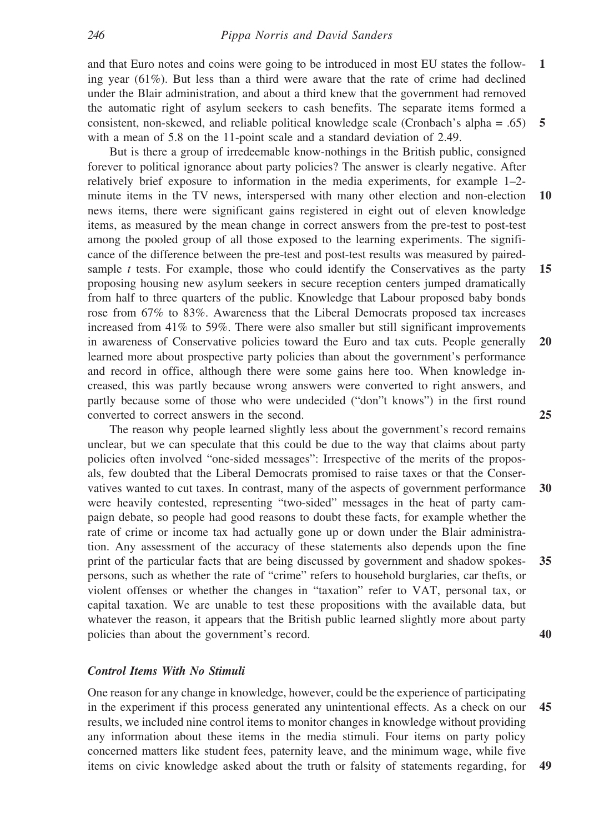**1 5** and that Euro notes and coins were going to be introduced in most EU states the following year (61%). But less than a third were aware that the rate of crime had declined under the Blair administration, and about a third knew that the government had removed the automatic right of asylum seekers to cash benefits. The separate items formed a consistent, non-skewed, and reliable political knowledge scale (Cronbach's alpha = .65) with a mean of 5.8 on the 11-point scale and a standard deviation of 2.49.

**10 15 20 25** But is there a group of irredeemable know-nothings in the British public, consigned forever to political ignorance about party policies? The answer is clearly negative. After relatively brief exposure to information in the media experiments, for example 1–2 minute items in the TV news, interspersed with many other election and non-election news items, there were significant gains registered in eight out of eleven knowledge items, as measured by the mean change in correct answers from the pre-test to post-test among the pooled group of all those exposed to the learning experiments. The significance of the difference between the pre-test and post-test results was measured by pairedsample *t* tests. For example, those who could identify the Conservatives as the party proposing housing new asylum seekers in secure reception centers jumped dramatically from half to three quarters of the public. Knowledge that Labour proposed baby bonds rose from 67% to 83%. Awareness that the Liberal Democrats proposed tax increases increased from 41% to 59%. There were also smaller but still significant improvements in awareness of Conservative policies toward the Euro and tax cuts. People generally learned more about prospective party policies than about the government's performance and record in office, although there were some gains here too. When knowledge increased, this was partly because wrong answers were converted to right answers, and partly because some of those who were undecided ("don"t knows") in the first round converted to correct answers in the second.

**30 35 40** The reason why people learned slightly less about the government's record remains unclear, but we can speculate that this could be due to the way that claims about party policies often involved "one-sided messages": Irrespective of the merits of the proposals, few doubted that the Liberal Democrats promised to raise taxes or that the Conservatives wanted to cut taxes. In contrast, many of the aspects of government performance were heavily contested, representing "two-sided" messages in the heat of party campaign debate, so people had good reasons to doubt these facts, for example whether the rate of crime or income tax had actually gone up or down under the Blair administration. Any assessment of the accuracy of these statements also depends upon the fine print of the particular facts that are being discussed by government and shadow spokespersons, such as whether the rate of "crime" refers to household burglaries, car thefts, or violent offenses or whether the changes in "taxation" refer to VAT, personal tax, or capital taxation. We are unable to test these propositions with the available data, but whatever the reason, it appears that the British public learned slightly more about party policies than about the government's record.

# *Control Items With No Stimuli*

**45 49** One reason for any change in knowledge, however, could be the experience of participating in the experiment if this process generated any unintentional effects. As a check on our results, we included nine control items to monitor changes in knowledge without providing any information about these items in the media stimuli. Four items on party policy concerned matters like student fees, paternity leave, and the minimum wage, while five items on civic knowledge asked about the truth or falsity of statements regarding, for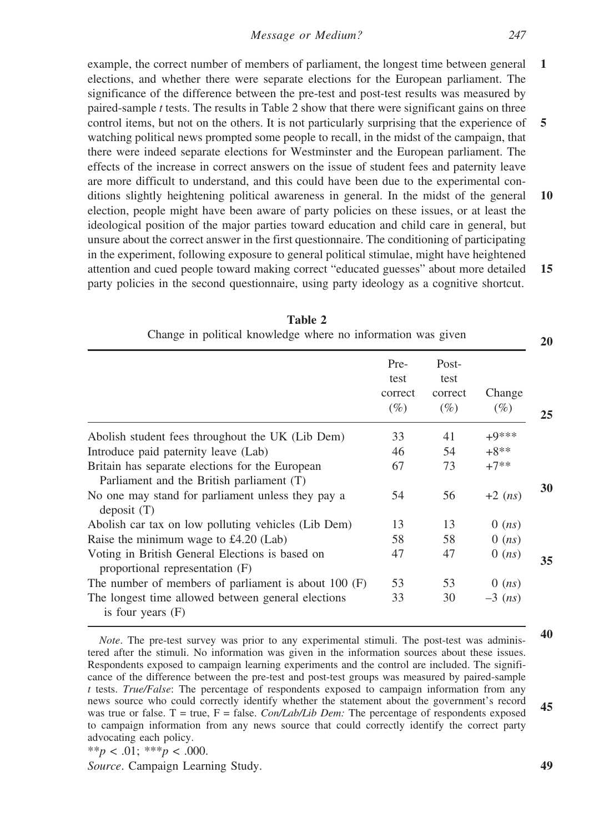**1 5 10 15** example, the correct number of members of parliament, the longest time between general elections, and whether there were separate elections for the European parliament. The significance of the difference between the pre-test and post-test results was measured by paired-sample *t* tests. The results in Table 2 show that there were significant gains on three control items, but not on the others. It is not particularly surprising that the experience of watching political news prompted some people to recall, in the midst of the campaign, that there were indeed separate elections for Westminster and the European parliament. The effects of the increase in correct answers on the issue of student fees and paternity leave are more difficult to understand, and this could have been due to the experimental conditions slightly heightening political awareness in general. In the midst of the general election, people might have been aware of party policies on these issues, or at least the ideological position of the major parties toward education and child care in general, but unsure about the correct answer in the first questionnaire. The conditioning of participating in the experiment, following exposure to general political stimulae, might have heightened attention and cued people toward making correct "educated guesses" about more detailed party policies in the second questionnaire, using party ideology as a cognitive shortcut.

|                                                                                              | Pre-<br>test<br>correct<br>$(\%)$ | Post-<br>test<br>correct<br>(%) | Change<br>(%)      |
|----------------------------------------------------------------------------------------------|-----------------------------------|---------------------------------|--------------------|
| Abolish student fees throughout the UK (Lib Dem)                                             | 33                                | 41                              | $+9***$            |
| Introduce paid paternity leave (Lab)                                                         | 46                                | 54                              | $+8**$             |
| Britain has separate elections for the European<br>Parliament and the British parliament (T) | 67                                | 73                              | $+7**$             |
| No one may stand for parliament unless they pay a<br>deposit(T)                              | 54                                | 56                              | $+2$ ( <i>ns</i> ) |
| Abolish car tax on low polluting vehicles (Lib Dem)                                          | 13                                | 13                              | $0$ $(ns)$         |
| Raise the minimum wage to £4.20 (Lab)                                                        | 58                                | 58                              | $0$ $(ns)$         |
| Voting in British General Elections is based on<br>proportional representation (F)           | 47                                | 47                              | $0$ $(ns)$         |
| The number of members of parliament is about $100$ (F)                                       | 53                                | 53                              | $0$ $(ns)$         |
| The longest time allowed between general elections<br>is four years $(F)$                    | 33                                | 30                              | $-3$ $(ns)$        |

**Table 2** Change in political knowledge where no information was given

*Note*. The pre-test survey was prior to any experimental stimuli. The post-test was administered after the stimuli. No information was given in the information sources about these issues. Respondents exposed to campaign learning experiments and the control are included. The significance of the difference between the pre-test and post-test groups was measured by paired-sample *t* tests. *True/False*: The percentage of respondents exposed to campaign information from any news source who could correctly identify whether the statement about the government's record was true or false. T = true,  $F = false$ . *Con/Lab/Lib Dem:* The percentage of respondents exposed to campaign information from any news source that could correctly identify the correct party advocating each policy.

\*\**p* < .01; \*\*\**p* < .000.

*Source*. Campaign Learning Study.

**49**

**45**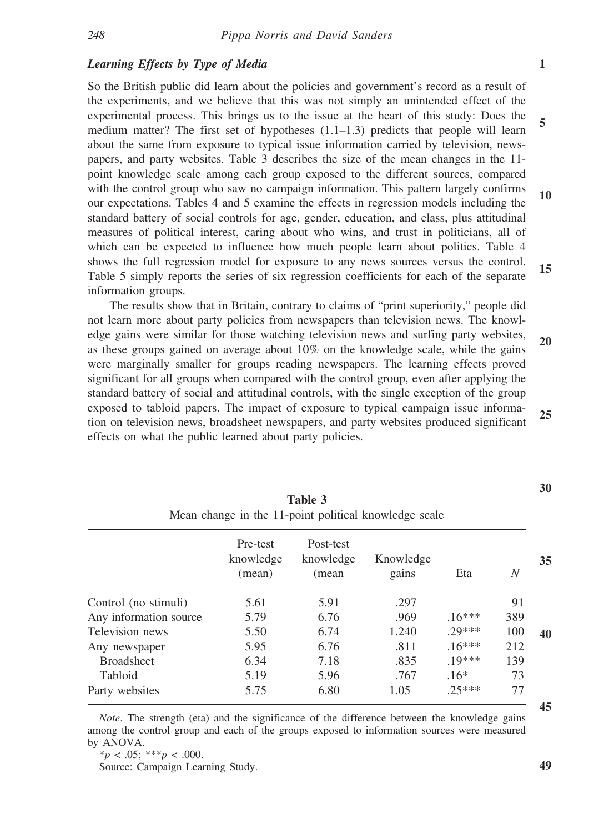# *Learning Effects by Type of Media*

**5 10 15** So the British public did learn about the policies and government's record as a result of the experiments, and we believe that this was not simply an unintended effect of the experimental process. This brings us to the issue at the heart of this study: Does the medium matter? The first set of hypotheses  $(1.1-1.3)$  predicts that people will learn about the same from exposure to typical issue information carried by television, newspapers, and party websites. Table 3 describes the size of the mean changes in the 11 point knowledge scale among each group exposed to the different sources, compared with the control group who saw no campaign information. This pattern largely confirms our expectations. Tables 4 and 5 examine the effects in regression models including the standard battery of social controls for age, gender, education, and class, plus attitudinal measures of political interest, caring about who wins, and trust in politicians, all of which can be expected to influence how much people learn about politics. Table 4 shows the full regression model for exposure to any news sources versus the control. Table 5 simply reports the series of six regression coefficients for each of the separate information groups.

**20 25** The results show that in Britain, contrary to claims of "print superiority," people did not learn more about party policies from newspapers than television news. The knowledge gains were similar for those watching television news and surfing party websites, as these groups gained on average about 10% on the knowledge scale, while the gains were marginally smaller for groups reading newspapers. The learning effects proved significant for all groups when compared with the control group, even after applying the standard battery of social and attitudinal controls, with the single exception of the group exposed to tabloid papers. The impact of exposure to typical campaign issue information on television news, broadsheet newspapers, and party websites produced significant effects on what the public learned about party policies.

|                                 | mean enange in the 11 point pointear knowledge search |                    |          |                  |    |
|---------------------------------|-------------------------------------------------------|--------------------|----------|------------------|----|
| Pre-test<br>knowledge<br>(mean) | Post-test<br>knowledge<br>(mean                       | Knowledge<br>gains | Eta      | $\boldsymbol{N}$ | 35 |
| 5.61                            | 5.91                                                  | .297               |          | 91               |    |
| 5.79                            | 6.76                                                  | .969               | $.16***$ | 389              |    |
| 5.50                            | 6.74                                                  | 1.240              | $29***$  | 100              | 40 |
| 5.95                            | 6.76                                                  | .811               | $.16***$ | 212              |    |
| 6.34                            | 7.18                                                  | .835               | $10***$  | 139              |    |
| 5.19                            | 5.96                                                  | .767               | $.16*$   | 73               |    |
| 5.75                            | 6.80                                                  | 1.05               | $25***$  | 77               |    |
|                                 |                                                       |                    |          |                  |    |

**Table 3** Mean change in the 11-point political knowledge scale

*Note*. The strength (eta) and the significance of the difference between the knowledge gains among the control group and each of the groups exposed to information sources were measured by ANOVA.

 $*_{p}$  < .05; \*\*\**p* < .000.

Source: Campaign Learning Study.

**1**

**30**

**45**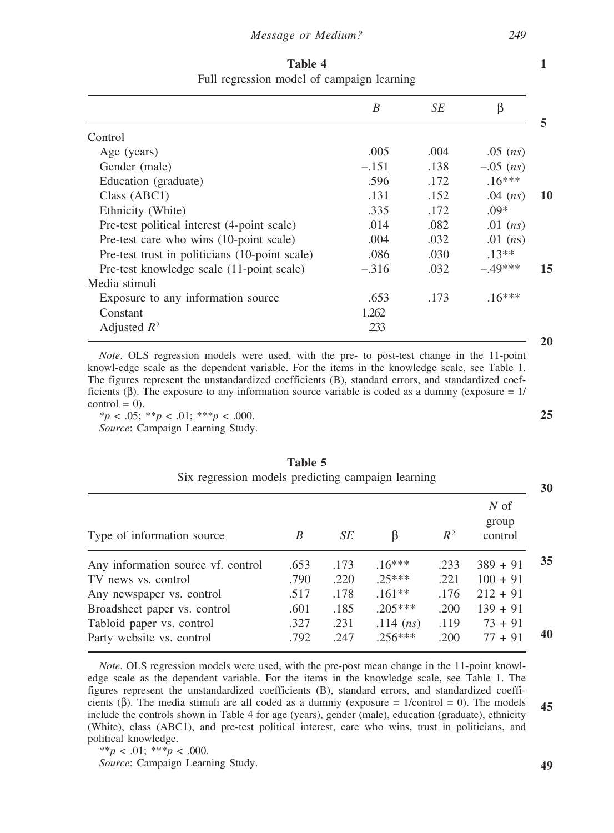#### *Message or Medium? 249*

# **Table 4** Full regression model of campaign learning

|                                                | B       | SЕ   | β                    |           |
|------------------------------------------------|---------|------|----------------------|-----------|
| Control                                        |         |      |                      | 5         |
| Age (years)                                    | .005    | .004 | .05 $(ns)$           |           |
| Gender (male)                                  | $-.151$ | .138 | $-.05$ ( <i>ns</i> ) |           |
| Education (graduate)                           | .596    | .172 | $.16***$             |           |
| Class (ABC1)                                   | .131    | .152 | .04 $(ns)$           | <b>10</b> |
| Ethnicity (White)                              | .335    | .172 | $.09*$               |           |
| Pre-test political interest (4-point scale)    | .014    | .082 | .01 $(ns)$           |           |
| Pre-test care who wins (10-point scale)        | .004    | .032 | $.01$ ( <i>ns</i> )  |           |
| Pre-test trust in politicians (10-point scale) | .086    | .030 | $.13**$              |           |
| Pre-test knowledge scale (11-point scale)      | $-.316$ | .032 | $-49***$             | 15        |
| Media stimuli                                  |         |      |                      |           |
| Exposure to any information source             | .653    | .173 | $.16***$             |           |
| Constant                                       | 1.262   |      |                      |           |
| Adjusted $R^2$                                 | .233    |      |                      | 20        |

*Note*. OLS regression models were used, with the pre- to post-test change in the 11-point knowl-edge scale as the dependent variable. For the items in the knowledge scale, see Table 1. The figures represent the unstandardized coefficients (B), standard errors, and standardized coefficients (β). The exposure to any information source variable is coded as a dummy (exposure =  $1/$ )  $control = 0$ ).

\**p* < .05; \*\**p* < .01; \*\*\**p* < .000. *Source*: Campaign Learning Study.

| Type of information source         | B    | SE   | ß                    | $R^2$ | $N \circ f$<br>group<br>control |
|------------------------------------|------|------|----------------------|-------|---------------------------------|
| Any information source vf. control | .653 | .173 | $.16***$             | .233  | $389 + 91$                      |
| TV news vs. control                | .790 | .220 | $.25***$             | .221  | $100 + 91$                      |
| Any newspaper vs. control          | .517 | .178 | $.161**$             | .176  | $212 + 91$                      |
| Broadsheet paper vs. control       | .601 | .185 | $.205***$            | .200  | $139 + 91$                      |
| Tabloid paper vs. control          | .327 | .231 | $.114$ ( <i>ns</i> ) | .119  | $73 + 91$                       |
| Party website vs. control          | .792 | .247 | $.256***$            | .200  | $77 + 91$                       |

# **Table 5** Six regression models predicting campaign learning

*Note*. OLS regression models were used, with the pre-post mean change in the 11-point knowledge scale as the dependent variable. For the items in the knowledge scale, see Table 1. The figures represent the unstandardized coefficients (B), standard errors, and standardized coefficients (β). The media stimuli are all coded as a dummy (exposure = 1/control = 0). The models include the controls shown in Table 4 for age (years), gender (male), education (graduate), ethnicity (White), class (ABC1), and pre-test political interest, care who wins, trust in politicians, and political knowledge.

\*\**p* < .01; \*\*\**p* < .000.

*Source*: Campaign Learning Study.

**25**

**1**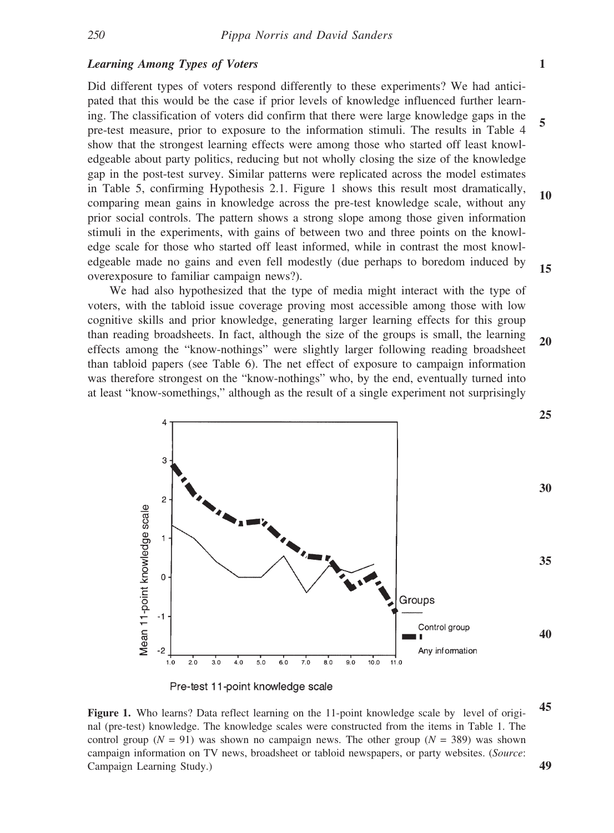#### *Learning Among Types of Voters*

**5 10 15** Did different types of voters respond differently to these experiments? We had anticipated that this would be the case if prior levels of knowledge influenced further learning. The classification of voters did confirm that there were large knowledge gaps in the pre-test measure, prior to exposure to the information stimuli. The results in Table 4 show that the strongest learning effects were among those who started off least knowledgeable about party politics, reducing but not wholly closing the size of the knowledge gap in the post-test survey. Similar patterns were replicated across the model estimates in Table 5, confirming Hypothesis 2.1. Figure 1 shows this result most dramatically, comparing mean gains in knowledge across the pre-test knowledge scale, without any prior social controls. The pattern shows a strong slope among those given information stimuli in the experiments, with gains of between two and three points on the knowledge scale for those who started off least informed, while in contrast the most knowledgeable made no gains and even fell modestly (due perhaps to boredom induced by overexposure to familiar campaign news?).

**20** We had also hypothesized that the type of media might interact with the type of voters, with the tabloid issue coverage proving most accessible among those with low cognitive skills and prior knowledge, generating larger learning effects for this group than reading broadsheets. In fact, although the size of the groups is small, the learning effects among the "know-nothings" were slightly larger following reading broadsheet than tabloid papers (see Table 6). The net effect of exposure to campaign information was therefore strongest on the "know-nothings" who, by the end, eventually turned into at least "know-somethings," although as the result of a single experiment not surprisingly

> 3 **30**  $\overline{c}$ Mean 11-point knowledge scale  $\mathbf{1}$ **35**  $\mathbf 0$ Groups  $-1$ Control group **40**  $-2$ Any information  $1.0$  $2.0$  $3.0$  $4.0$  $5.0$  $9.0$  $10.0$  $11.0$  $6.0$  $7.0$  $8.0$

Pre-test 11-point knowledge scale

**49 Figure 1.** Who learns? Data reflect learning on the 11-point knowledge scale by level of original (pre-test) knowledge. The knowledge scales were constructed from the items in Table 1. The control group ( $N = 91$ ) was shown no campaign news. The other group ( $N = 389$ ) was shown campaign information on TV news, broadsheet or tabloid newspapers, or party websites. (*Source*: Campaign Learning Study.)

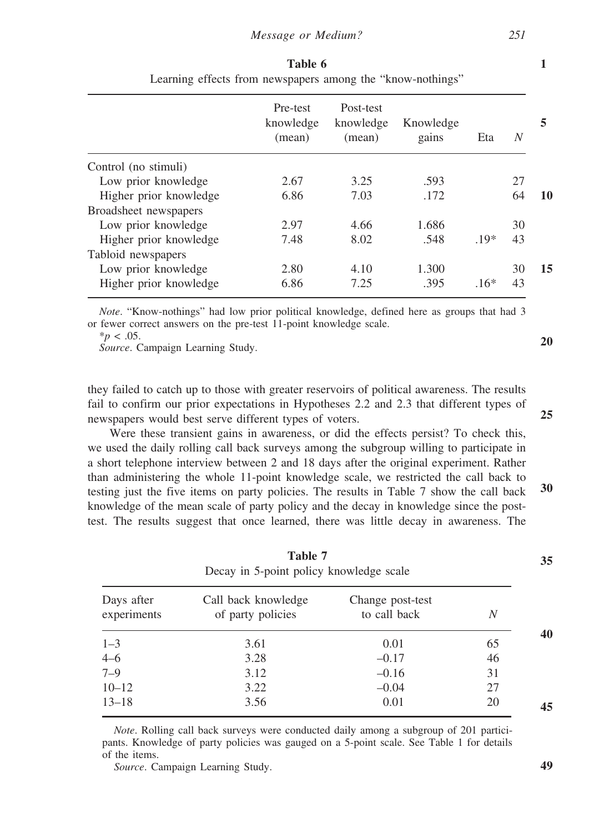**1**

|                        | Pre-test<br>knowledge<br>(mean) | Post-test<br>knowledge<br>(mean) | Knowledge<br>gains | Eta    | N  |
|------------------------|---------------------------------|----------------------------------|--------------------|--------|----|
| Control (no stimuli)   |                                 |                                  |                    |        |    |
| Low prior knowledge    | 2.67                            | 3.25                             | .593               |        | 27 |
| Higher prior knowledge | 6.86                            | 7.03                             | .172               |        | 64 |
| Broadsheet newspapers  |                                 |                                  |                    |        |    |
| Low prior knowledge    | 2.97                            | 4.66                             | 1.686              |        | 30 |
| Higher prior knowledge | 7.48                            | 8.02                             | .548               | $.19*$ | 43 |
| Tabloid newspapers     |                                 |                                  |                    |        |    |
| Low prior knowledge    | 2.80                            | 4.10                             | 1.300              |        | 30 |
| Higher prior knowledge | 6.86                            | 7.25                             | .395               | $.16*$ | 43 |

| Table 6                                                    |  |  |  |  |  |  |
|------------------------------------------------------------|--|--|--|--|--|--|
| Learning effects from newspapers among the "know-nothings" |  |  |  |  |  |  |

*Note*. "Know-nothings" had low prior political knowledge, defined here as groups that had 3 or fewer correct answers on the pre-test 11-point knowledge scale.

 $*_{p}$  < .05.

*Source*. Campaign Learning Study.

they failed to catch up to those with greater reservoirs of political awareness. The results fail to confirm our prior expectations in Hypotheses 2.2 and 2.3 that different types of newspapers would best serve different types of voters.

**30** Were these transient gains in awareness, or did the effects persist? To check this, we used the daily rolling call back surveys among the subgroup willing to participate in a short telephone interview between 2 and 18 days after the original experiment. Rather than administering the whole 11-point knowledge scale, we restricted the call back to testing just the five items on party policies. The results in Table 7 show the call back knowledge of the mean scale of party policy and the decay in knowledge since the posttest. The results suggest that once learned, there was little decay in awareness. The

**Table 7**

| Table 7<br>Decay in 5-point policy knowledge scale |                                          |                                  |    |    |
|----------------------------------------------------|------------------------------------------|----------------------------------|----|----|
| Days after<br>experiments                          | Call back knowledge<br>of party policies | Change post-test<br>to call back | N  |    |
| $1 - 3$                                            | 3.61                                     | 0.01                             | 65 | 40 |
| $4 - 6$                                            | 3.28                                     | $-0.17$                          | 46 |    |
| $7 - 9$                                            | 3.12                                     | $-0.16$                          | 31 |    |
| $10 - 12$                                          | 3.22                                     | $-0.04$                          | 27 |    |
| $13 - 18$                                          | 3.56                                     | 0.01                             | 20 | 45 |

*Note*. Rolling call back surveys were conducted daily among a subgroup of 201 participants. Knowledge of party policies was gauged on a 5-point scale. See Table 1 for details of the items.

*Source*. Campaign Learning Study.

**20**

**25**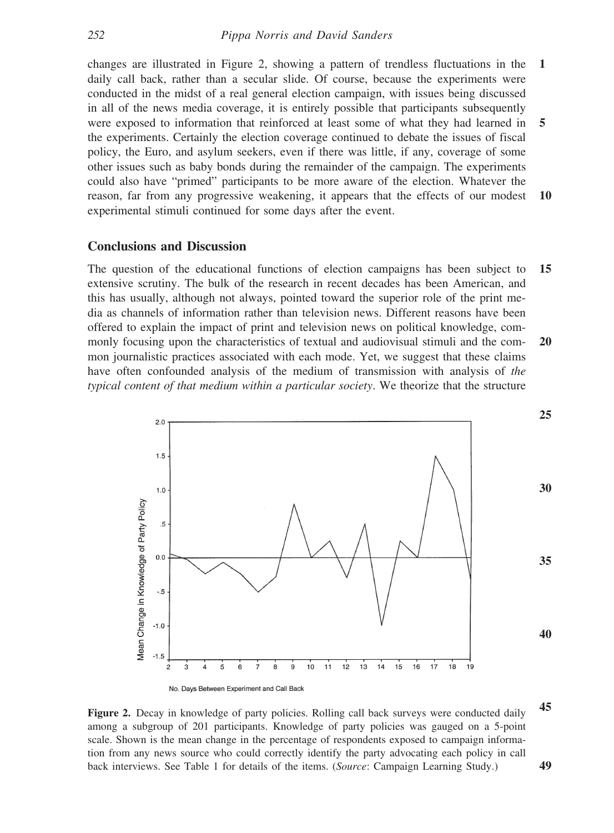**1** changes are illustrated in Figure 2, showing a pattern of trendless fluctuations in the **5 10** daily call back, rather than a secular slide. Of course, because the experiments were conducted in the midst of a real general election campaign, with issues being discussed in all of the news media coverage, it is entirely possible that participants subsequently were exposed to information that reinforced at least some of what they had learned in the experiments. Certainly the election coverage continued to debate the issues of fiscal policy, the Euro, and asylum seekers, even if there was little, if any, coverage of some other issues such as baby bonds during the remainder of the campaign. The experiments could also have "primed" participants to be more aware of the election. Whatever the reason, far from any progressive weakening, it appears that the effects of our modest experimental stimuli continued for some days after the event.

# **Conclusions and Discussion**

**15 20** The question of the educational functions of election campaigns has been subject to extensive scrutiny. The bulk of the research in recent decades has been American, and this has usually, although not always, pointed toward the superior role of the print media as channels of information rather than television news. Different reasons have been offered to explain the impact of print and television news on political knowledge, commonly focusing upon the characteristics of textual and audiovisual stimuli and the common journalistic practices associated with each mode. Yet, we suggest that these claims have often confounded analysis of the medium of transmission with analysis of *the typical content of that medium within a particular society*. We theorize that the structure



**49 Figure 2.** Decay in knowledge of party policies. Rolling call back surveys were conducted daily among a subgroup of 201 participants. Knowledge of party policies was gauged on a 5-point scale. Shown is the mean change in the percentage of respondents exposed to campaign information from any news source who could correctly identify the party advocating each policy in call back interviews. See Table 1 for details of the items. (*Source*: Campaign Learning Study.)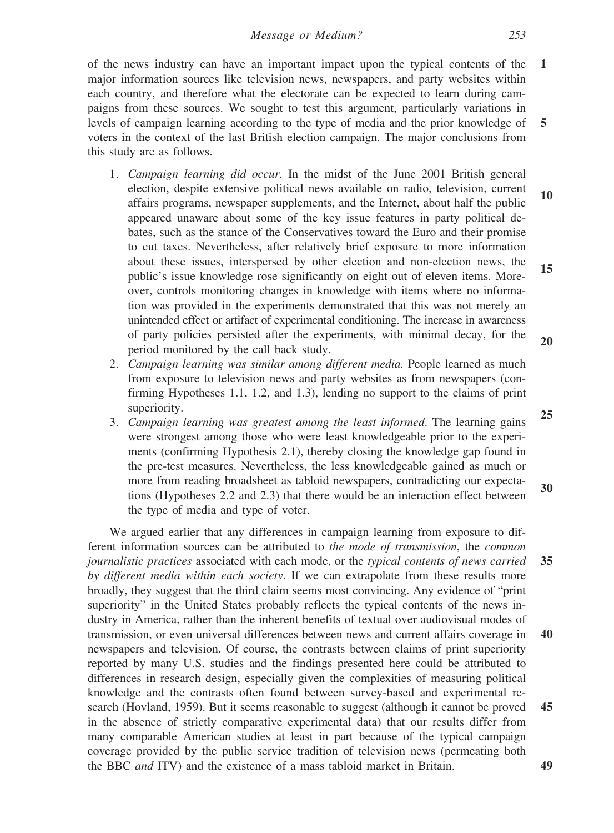**1 5** of the news industry can have an important impact upon the typical contents of the major information sources like television news, newspapers, and party websites within each country, and therefore what the electorate can be expected to learn during campaigns from these sources. We sought to test this argument, particularly variations in levels of campaign learning according to the type of media and the prior knowledge of voters in the context of the last British election campaign. The major conclusions from this study are as follows.

- **10 15 20** 1. *Campaign learning did occur.* In the midst of the June 2001 British general election, despite extensive political news available on radio, television, current affairs programs, newspaper supplements, and the Internet, about half the public appeared unaware about some of the key issue features in party political debates, such as the stance of the Conservatives toward the Euro and their promise to cut taxes. Nevertheless, after relatively brief exposure to more information about these issues, interspersed by other election and non-election news, the public's issue knowledge rose significantly on eight out of eleven items. Moreover, controls monitoring changes in knowledge with items where no information was provided in the experiments demonstrated that this was not merely an unintended effect or artifact of experimental conditioning. The increase in awareness of party policies persisted after the experiments, with minimal decay, for the period monitored by the call back study.
- 2. *Campaign learning was similar among different media.* People learned as much from exposure to television news and party websites as from newspapers (confirming Hypotheses 1.1, 1.2, and 1.3), lending no support to the claims of print superiority.
- **25 30** 3. *Campaign learning was greatest among the least informed*. The learning gains were strongest among those who were least knowledgeable prior to the experiments (confirming Hypothesis 2.1), thereby closing the knowledge gap found in the pre-test measures. Nevertheless, the less knowledgeable gained as much or more from reading broadsheet as tabloid newspapers, contradicting our expectations (Hypotheses 2.2 and 2.3) that there would be an interaction effect between the type of media and type of voter.

**35 40 45 49** We argued earlier that any differences in campaign learning from exposure to different information sources can be attributed to *the mode of transmission*, the *common journalistic practices* associated with each mode, or the *typical contents of news carried by different media within each society*. If we can extrapolate from these results more broadly, they suggest that the third claim seems most convincing. Any evidence of "print superiority" in the United States probably reflects the typical contents of the news industry in America, rather than the inherent benefits of textual over audiovisual modes of transmission, or even universal differences between news and current affairs coverage in newspapers and television. Of course, the contrasts between claims of print superiority reported by many U.S. studies and the findings presented here could be attributed to differences in research design, especially given the complexities of measuring political knowledge and the contrasts often found between survey-based and experimental research (Hovland, 1959). But it seems reasonable to suggest (although it cannot be proved in the absence of strictly comparative experimental data) that our results differ from many comparable American studies at least in part because of the typical campaign coverage provided by the public service tradition of television news (permeating both the BBC *and* ITV) and the existence of a mass tabloid market in Britain.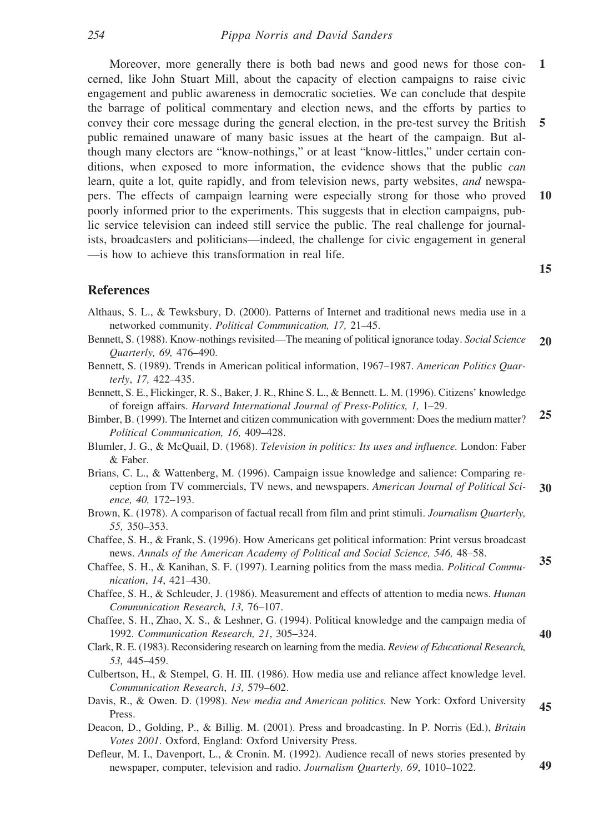**1 5 10** Moreover, more generally there is both bad news and good news for those concerned, like John Stuart Mill, about the capacity of election campaigns to raise civic engagement and public awareness in democratic societies. We can conclude that despite the barrage of political commentary and election news, and the efforts by parties to convey their core message during the general election, in the pre-test survey the British public remained unaware of many basic issues at the heart of the campaign. But although many electors are "know-nothings," or at least "know-littles," under certain conditions, when exposed to more information, the evidence shows that the public *can* learn, quite a lot, quite rapidly, and from television news, party websites, *and* newspapers. The effects of campaign learning were especially strong for those who proved poorly informed prior to the experiments. This suggests that in election campaigns, public service television can indeed still service the public. The real challenge for journalists, broadcasters and politicians—indeed, the challenge for civic engagement in general —is how to achieve this transformation in real life.

**15**

**40**

**49**

# **References**

- Althaus, S. L., & Tewksbury, D. (2000). Patterns of Internet and traditional news media use in a networked community. *Political Communication, 17,* 21–45.
- **20** Bennett, S. (1988). Know-nothings revisited—The meaning of political ignorance today. *Social Science Quarterly, 69,* 476–490.
- Bennett, S. (1989). Trends in American political information, 1967–1987. *American Politics Quarterly*, *17,* 422–435.
- Bennett, S. E., Flickinger, R. S., Baker, J. R., Rhine S. L., & Bennett. L. M. (1996). Citizens' knowledge of foreign affairs. *Harvard International Journal of Press-Politics, 1,* 1–29.
- **25** Bimber, B. (1999). The Internet and citizen communication with government: Does the medium matter? *Political Communication, 16,* 409–428.
- Blumler, J. G., & McQuail, D. (1968). *Television in politics: Its uses and influence.* London: Faber & Faber.
- **30** Brians, C. L., & Wattenberg, M. (1996). Campaign issue knowledge and salience: Comparing reception from TV commercials, TV news, and newspapers. *American Journal of Political Science, 40,* 172–193.
- Brown, K. (1978). A comparison of factual recall from film and print stimuli. *Journalism Quarterly, 55,* 350–353.
- Chaffee, S. H., & Frank, S. (1996). How Americans get political information: Print versus broadcast news. *Annals of the American Academy of Political and Social Science, 546,* 48–58.
- **35** Chaffee, S. H., & Kanihan, S. F. (1997). Learning politics from the mass media. *Political Communication*, *14*, 421–430.
- Chaffee, S. H., & Schleuder, J. (1986). Measurement and effects of attention to media news. *Human Communication Research, 13,* 76–107.
- Chaffee, S. H., Zhao, X. S., & Leshner, G. (1994). Political knowledge and the campaign media of 1992. *Communication Research, 21*, 305–324.
- Clark, R. E. (1983). Reconsidering research on learning from the media. *Review of Educational Research, 53,* 445–459.
- Culbertson, H., & Stempel, G. H. III. (1986). How media use and reliance affect knowledge level. *Communication Research*, *13,* 579–602.
- **45** Davis, R., & Owen. D. (1998). *New media and American politics.* New York: Oxford University Press.
- Deacon, D., Golding, P., & Billig. M. (2001). Press and broadcasting. In P. Norris (Ed.), *Britain Votes 2001*. Oxford, England: Oxford University Press.
- Defleur, M. I., Davenport, L., & Cronin. M. (1992). Audience recall of news stories presented by newspaper, computer, television and radio. *Journalism Quarterly, 69*, 1010–1022.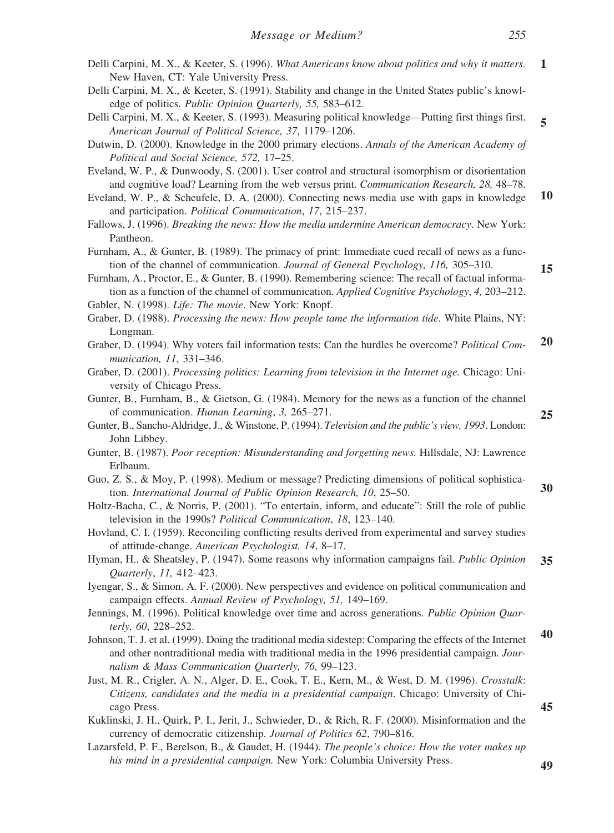- Delli Carpini, M. X., & Keeter, S. (1996). *What Americans know about politics and why it matters.* New Haven, CT: Yale University Press.
- Delli Carpini, M. X., & Keeter, S. (1991). Stability and change in the United States public's knowledge of politics. *Public Opinion Quarterly, 55,* 583–612.
- **5** Delli Carpini, M. X., & Keeter, S. (1993). Measuring political knowledge—Putting first things first. *American Journal of Political Science, 37*, 1179–1206.
- Dutwin, D. (2000). Knowledge in the 2000 primary elections. *Annals of the American Academy of Political and Social Science, 572,* 17–25.
- Eveland, W. P., & Dunwoody, S. (2001). User control and structural isomorphism or disorientation and cognitive load? Learning from the web versus print. *Communication Research, 28,* 48–78.
- **10** Eveland, W. P., & Scheufele, D. A. (2000). Connecting news media use with gaps in knowledge and participation. *Political Communication*, *17*, 215–237.
- Fallows, J. (1996). *Breaking the news: How the media undermine American democracy*. New York: Pantheon.
- Furnham, A., & Gunter, B. (1989). The primacy of print: Immediate cued recall of news as a function of the channel of communication. *Journal of General Psychology, 116,* 305–310.
- Furnham, A., Proctor, E., & Gunter, B. (1990). Remembering science: The recall of factual information as a function of the channel of communication. *Applied Cognitive Psychology*, *4,* 203–212.
- Gabler, N. (1998). *Life: The movie*. New York: Knopf.
- Graber, D. (1988). *Processing the news: How people tame the information tide.* White Plains, NY: Longman.
- **20** Graber, D. (1994). Why voters fail information tests: Can the hurdles be overcome? *Political Communication, 11*, 331–346.
- Graber, D. (2001). *Processing politics: Learning from television in the Internet age.* Chicago: University of Chicago Press.
- Gunter, B., Furnham, B., & Gietson, G. (1984). Memory for the news as a function of the channel of communication. *Human Learning*, *3,* 265–271.
- Gunter, B., Sancho-Aldridge, J., & Winstone, P. (1994). *Television and the public's view, 1993*. London: John Libbey.
- Gunter, B. (1987). *Poor reception: Misunderstanding and forgetting news.* Hillsdale, NJ: Lawrence Erlbaum.
- **30** Guo, Z. S., & Moy, P. (1998). Medium or message? Predicting dimensions of political sophistication. *International Journal of Public Opinion Research, 10*, 25–50.
- Holtz-Bacha, C., & Norris, P. (2001). "To entertain, inform, and educate": Still the role of public television in the 1990s? *Political Communication*, *18*, 123–140.
- Hovland, C. I. (1959). Reconciling conflicting results derived from experimental and survey studies of attitude-change. *American Psychologist, 14*, 8–17.
- **35** Hyman, H., & Sheatsley, P. (1947). Some reasons why information campaigns fail. *Public Opinion Quarterly*, *11,* 412–423.
- Iyengar, S., & Simon. A. F. (2000). New perspectives and evidence on political communication and campaign effects. *Annual Review of Psychology, 51,* 149–169.
- Jennings, M. (1996). Political knowledge over time and across generations. *Public Opinion Quarterly, 60*, 228–252.
- **40** Johnson, T. J. et al. (1999). Doing the traditional media sidestep: Comparing the effects of the Internet and other nontraditional media with traditional media in the 1996 presidential campaign. *Journalism & Mass Communication Quarterly, 76,* 99–123.
- Just, M. R., Crigler, A. N., Alger, D. E., Cook, T. E., Kern, M., & West, D. M. (1996). *Crosstalk*: *Citizens, candidates and the media in a presidential campaign*. Chicago: University of Chicago Press.
- Kuklinski, J. H., Quirk, P. I., Jerit, J., Schwieder, D., & Rich, R. F. (2000). Misinformation and the currency of democratic citizenship. *Journal of Politics 62*, 790–816.
- Lazarsfeld, P. F., Berelson, B., & Gaudet, H. (1944). *The people's choice: How the voter makes up his mind in a presidential campaign.* New York: Columbia University Press.

**1**

**15**

**25**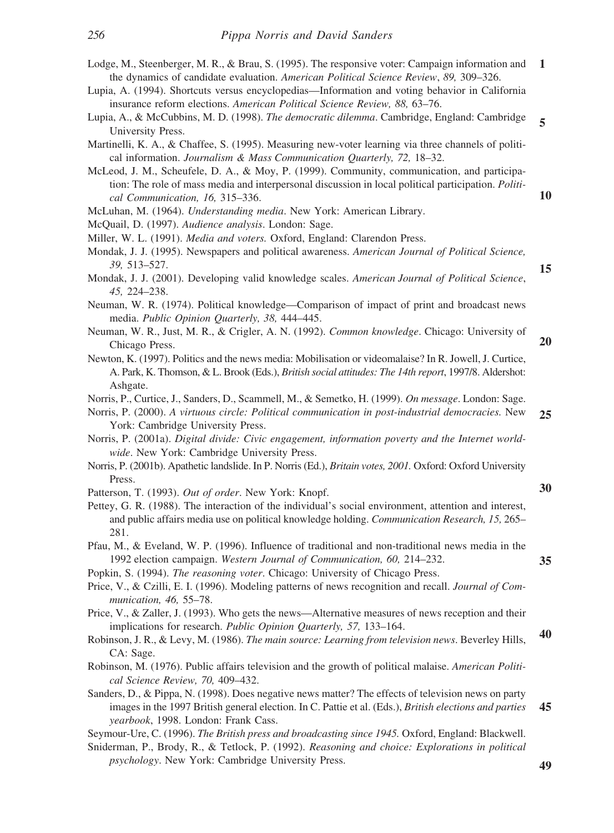- **1** Lodge, M., Steenberger, M. R., & Brau, S. (1995). The responsive voter: Campaign information and the dynamics of candidate evaluation. *American Political Science Review*, *89,* 309–326.
- Lupia, A. (1994). Shortcuts versus encyclopedias—Information and voting behavior in California insurance reform elections. *American Political Science Review, 88,* 63–76.
- **5** Lupia, A., & McCubbins, M. D. (1998). *The democratic dilemma*. Cambridge, England: Cambridge University Press.
- Martinelli, K. A., & Chaffee, S. (1995). Measuring new-voter learning via three channels of political information. *Journalism & Mass Communication Quarterly, 72,* 18–32.
- McLeod, J. M., Scheufele, D. A., & Moy, P. (1999). Community, communication, and participation: The role of mass media and interpersonal discussion in local political participation. *Political Communication, 16,* 315–336.
- McLuhan, M. (1964). *Understanding media*. New York: American Library.
- McQuail, D. (1997). *Audience analysis*. London: Sage.
- Miller, W. L. (1991). *Media and voters.* Oxford, England: Clarendon Press.
- Mondak, J. J. (1995). Newspapers and political awareness. *American Journal of Political Science, 39,* 513–527.
- Mondak, J. J. (2001). Developing valid knowledge scales. *American Journal of Political Science*, *45,* 224–238.
- Neuman, W. R. (1974). Political knowledge—Comparison of impact of print and broadcast news media. *Public Opinion Quarterly, 38,* 444–445.
- **20** Neuman, W. R., Just, M. R., & Crigler, A. N. (1992). *Common knowledge*. Chicago: University of Chicago Press.
- Newton, K. (1997). Politics and the news media: Mobilisation or videomalaise? In R. Jowell, J. Curtice, A. Park, K. Thomson, & L. Brook (Eds.), *British social attitudes: The 14th report*, 1997/8. Aldershot: Ashgate.
- Norris, P., Curtice, J., Sanders, D., Scammell, M., & Semetko, H. (1999). *On message*. London: Sage.
- Norris, P. (2000). *A virtuous circle: Political communication in post-industrial democracies.* New York: Cambridge University Press.
- Norris, P. (2001a). *Digital divide: Civic engagement, information poverty and the Internet worldwide*. New York: Cambridge University Press.
- Norris, P. (2001b). Apathetic landslide. In P. Norris (Ed.), *Britain votes, 2001.* Oxford: Oxford University Press.
- Patterson, T. (1993). *Out of order*. New York: Knopf.
- Pettey, G. R. (1988). The interaction of the individual's social environment, attention and interest, and public affairs media use on political knowledge holding. *Communication Research, 15,* 265– 281.
- Pfau, M., & Eveland, W. P. (1996). Influence of traditional and non-traditional news media in the 1992 election campaign. *Western Journal of Communication, 60,* 214–232.
- Popkin, S. (1994). *The reasoning voter*. Chicago: University of Chicago Press.
- Price, V., & Czilli, E. I. (1996). Modeling patterns of news recognition and recall. *Journal of Communication, 46,* 55–78.
- Price, V., & Zaller, J. (1993). Who gets the news—Alternative measures of news reception and their implications for research. *Public Opinion Quarterly, 57,* 133–164.
- **40** Robinson, J. R., & Levy, M. (1986). *The main source: Learning from television news*. Beverley Hills, CA: Sage.
- Robinson, M. (1976). Public affairs television and the growth of political malaise. *American Political Science Review, 70,* 409–432.
- **45** Sanders, D., & Pippa, N. (1998). Does negative news matter? The effects of television news on party images in the 1997 British general election. In C. Pattie et al. (Eds.), *British elections and parties yearbook*, 1998. London: Frank Cass.
- Seymour-Ure, C. (1996). *The British press and broadcasting since 1945.* Oxford, England: Blackwell.
- Sniderman, P., Brody, R., & Tetlock, P. (1992). *Reasoning and choice: Explorations in political psychology*. New York: Cambridge University Press.

**15**

**10**

**25**

**30**

**35**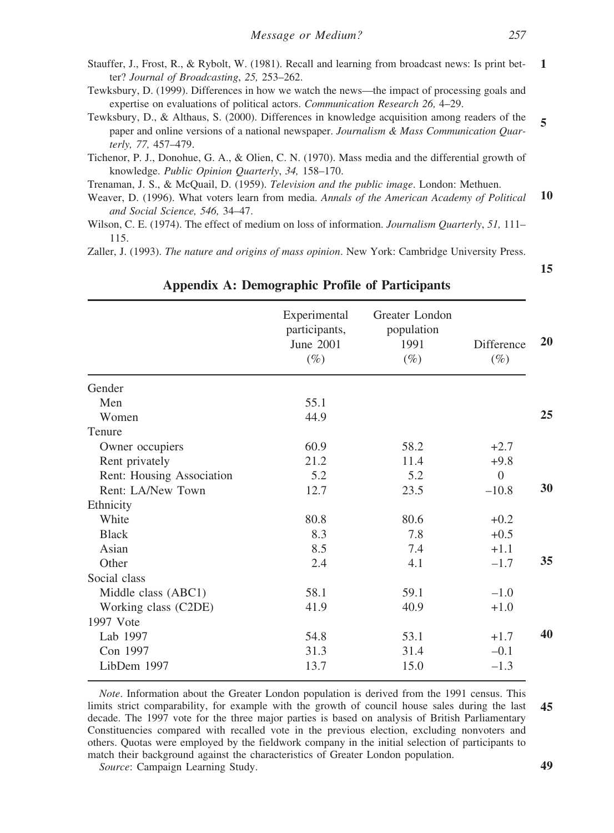Stauffer, J., Frost, R., & Rybolt, W. (1981). Recall and learning from broadcast news: Is print better? *Journal of Broadcasting*, *25,* 253–262.

- Tewksbury, D. (1999). Differences in how we watch the news—the impact of processing goals and expertise on evaluations of political actors. *Communication Research 26,* 4–29.
- **5** Tewksbury, D., & Althaus, S. (2000). Differences in knowledge acquisition among readers of the paper and online versions of a national newspaper. *Journalism & Mass Communication Quarterly, 77,* 457–479.
- Tichenor, P. J., Donohue, G. A., & Olien, C. N. (1970). Mass media and the differential growth of knowledge. *Public Opinion Quarterly*, *34,* 158–170.
- Trenaman, J. S., & McQuail, D. (1959). *Television and the public image*. London: Methuen.
- **10** Weaver, D. (1996). What voters learn from media. *Annals of the American Academy of Political and Social Science, 546,* 34–47.
- Wilson, C. E. (1974). The effect of medium on loss of information. *Journalism Quarterly*, *51,* 111– 115.

Zaller, J. (1993). *The nature and origins of mass opinion*. New York: Cambridge University Press.

**20 25 30 35 40** Experimental Greater London participants, population June 2001 1991 Difference (%)  $(\%)$  (%) Gender Men  $55.1$ Women 44.9 Tenure Owner occupiers  $60.9$   $58.2$   $+2.7$ Rent privately 21.2 11.4 +9.8 Rent: Housing Association 5.2 5.2 0 Rent: LA/New Town 12.7 23.5 – 10.8 Ethnicity White  $80.8$   $80.6$   $+0.2$ Black  $8.3$   $7.8$   $+0.5$ Asian 8.5 7.4 +1.1 Other 2.4 4.1 – 1.7 Social class Middle class  $(ABC1)$  58.1 59.1 –1.0 Working class (C2DE)  $41.9$   $40.9$   $+1.0$ 1997 Vote Lab  $1997$  54.8 53.1  $+1.7$ Con 1997 31.3 31.4 – 0.1 LibDem 1997 13.7 15.0 – 1.3

**Appendix A: Demographic Profile of Participants**

**45** *Note*. Information about the Greater London population is derived from the 1991 census. This limits strict comparability, for example with the growth of council house sales during the last decade. The 1997 vote for the three major parties is based on analysis of British Parliamentary Constituencies compared with recalled vote in the previous election, excluding nonvoters and others. Quotas were employed by the fieldwork company in the initial selection of participants to match their background against the characteristics of Greater London population.

*Source*: Campaign Learning Study.

**1**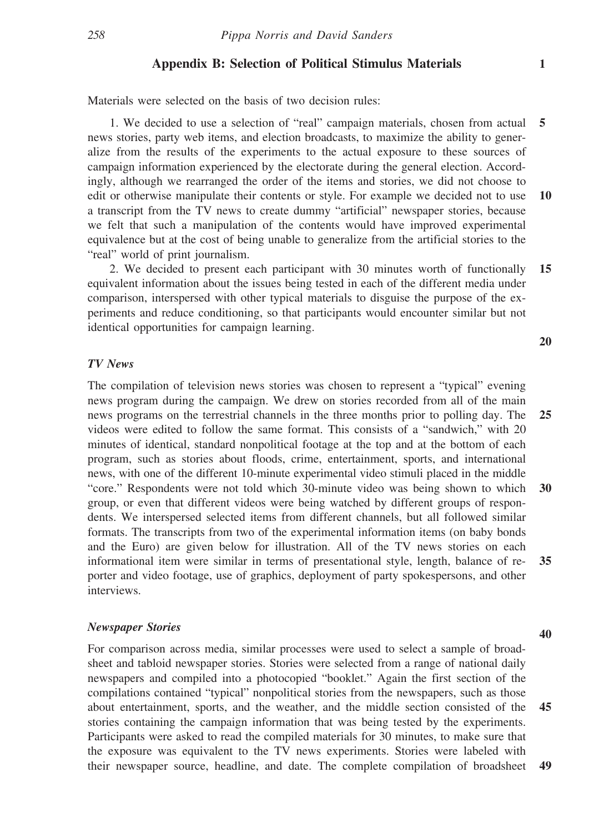# **Appendix B: Selection of Political Stimulus Materials**

Materials were selected on the basis of two decision rules:

**5 10** 1. We decided to use a selection of "real" campaign materials, chosen from actual news stories, party web items, and election broadcasts, to maximize the ability to generalize from the results of the experiments to the actual exposure to these sources of campaign information experienced by the electorate during the general election. Accordingly, although we rearranged the order of the items and stories, we did not choose to edit or otherwise manipulate their contents or style. For example we decided not to use a transcript from the TV news to create dummy "artificial" newspaper stories, because we felt that such a manipulation of the contents would have improved experimental equivalence but at the cost of being unable to generalize from the artificial stories to the "real" world of print journalism.

**15** 2. We decided to present each participant with 30 minutes worth of functionally equivalent information about the issues being tested in each of the different media under comparison, interspersed with other typical materials to disguise the purpose of the experiments and reduce conditioning, so that participants would encounter similar but not identical opportunities for campaign learning.

**20**

**40**

**1**

### *TV News*

**25 30 35** The compilation of television news stories was chosen to represent a "typical" evening news program during the campaign. We drew on stories recorded from all of the main news programs on the terrestrial channels in the three months prior to polling day. The videos were edited to follow the same format. This consists of a "sandwich," with 20 minutes of identical, standard nonpolitical footage at the top and at the bottom of each program, such as stories about floods, crime, entertainment, sports, and international news, with one of the different 10-minute experimental video stimuli placed in the middle "core." Respondents were not told which 30-minute video was being shown to which group, or even that different videos were being watched by different groups of respondents. We interspersed selected items from different channels, but all followed similar formats. The transcripts from two of the experimental information items (on baby bonds and the Euro) are given below for illustration. All of the TV news stories on each informational item were similar in terms of presentational style, length, balance of reporter and video footage, use of graphics, deployment of party spokespersons, and other interviews.

# *Newspaper Stories*

**45 49** For comparison across media, similar processes were used to select a sample of broadsheet and tabloid newspaper stories. Stories were selected from a range of national daily newspapers and compiled into a photocopied "booklet." Again the first section of the compilations contained "typical" nonpolitical stories from the newspapers, such as those about entertainment, sports, and the weather, and the middle section consisted of the stories containing the campaign information that was being tested by the experiments. Participants were asked to read the compiled materials for 30 minutes, to make sure that the exposure was equivalent to the TV news experiments. Stories were labeled with their newspaper source, headline, and date. The complete compilation of broadsheet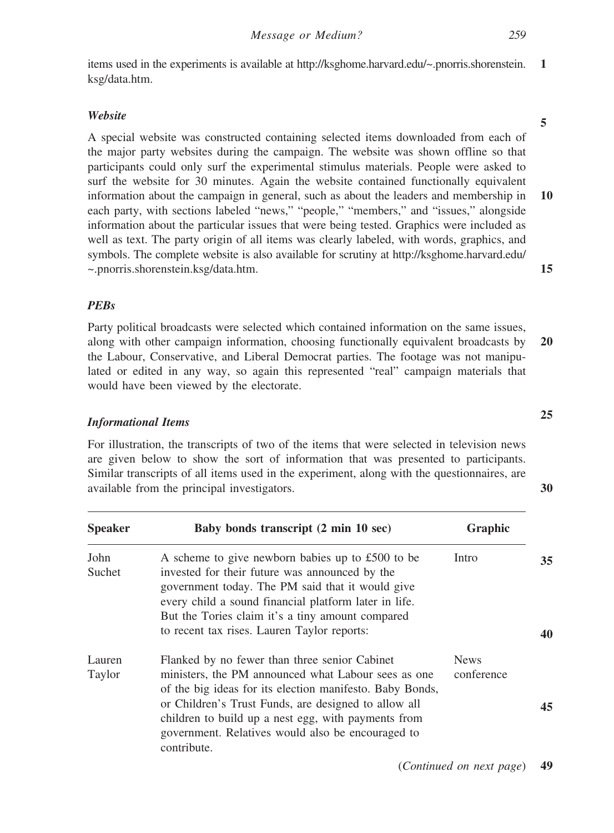items used in the experiments is available at http://ksghome.harvard.edu/~.pnorris.shorenstein.

# *Website*

ksg/data.htm.

**10** A special website was constructed containing selected items downloaded from each of the major party websites during the campaign. The website was shown offline so that participants could only surf the experimental stimulus materials. People were asked to surf the website for 30 minutes. Again the website contained functionally equivalent information about the campaign in general, such as about the leaders and membership in each party, with sections labeled "news," "people," "members," and "issues," alongside information about the particular issues that were being tested. Graphics were included as well as text. The party origin of all items was clearly labeled, with words, graphics, and symbols. The complete website is also available for scrutiny at http://ksghome.harvard.edu/ ~.pnorris.shorenstein.ksg/data.htm.

# *PEBs*

**20** Party political broadcasts were selected which contained information on the same issues, along with other campaign information, choosing functionally equivalent broadcasts by the Labour, Conservative, and Liberal Democrat parties. The footage was not manipulated or edited in any way, so again this represented "real" campaign materials that would have been viewed by the electorate.

# *Informational Items*

For illustration, the transcripts of two of the items that were selected in television news are given below to show the sort of information that was presented to participants. Similar transcripts of all items used in the experiment, along with the questionnaires, are available from the principal investigators.

| <b>Speaker</b>   | Baby bonds transcript (2 min 10 sec)                                                                                                                                                                                                                                                                                                 | <b>Graphic</b>            |           |
|------------------|--------------------------------------------------------------------------------------------------------------------------------------------------------------------------------------------------------------------------------------------------------------------------------------------------------------------------------------|---------------------------|-----------|
| John<br>Suchet   | A scheme to give newborn babies up to £500 to be<br>invested for their future was announced by the<br>government today. The PM said that it would give<br>every child a sound financial platform later in life.<br>But the Tories claim it's a tiny amount compared<br>to recent tax rises. Lauren Taylor reports:                   | Intro                     | 35.<br>40 |
| Lauren<br>Taylor | Flanked by no fewer than three senior Cabinet<br>ministers, the PM announced what Labour sees as one<br>of the big ideas for its election manifesto. Baby Bonds,<br>or Children's Trust Funds, are designed to allow all<br>children to build up a nest egg, with payments from<br>government. Relatives would also be encouraged to | <b>News</b><br>conference | 45        |
|                  | contribute.                                                                                                                                                                                                                                                                                                                          | (Continued on next page)  | 49        |

**5**

**1**

**15**

**25**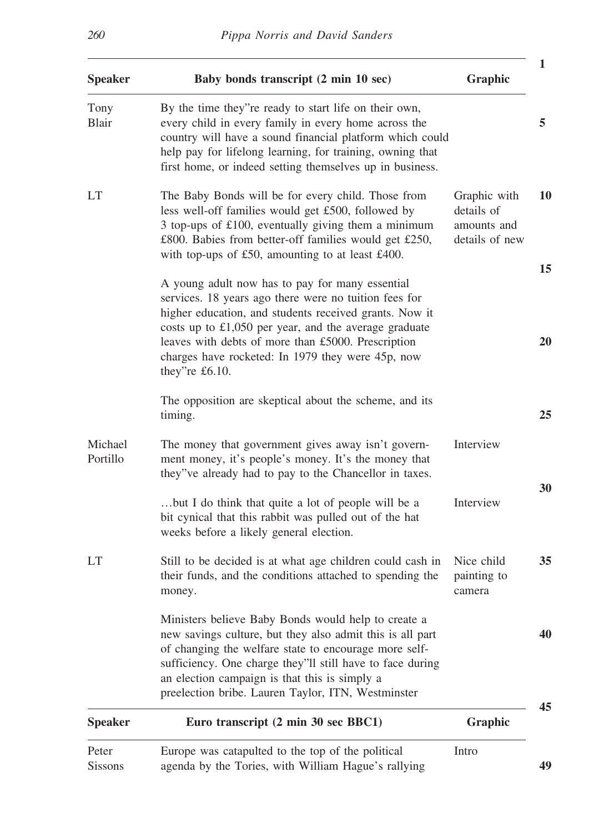| <b>Speaker</b>      | Baby bonds transcript (2 min 10 sec)                                                                                                                                                                                                                                                                                                                     | Graphic                                                     |
|---------------------|----------------------------------------------------------------------------------------------------------------------------------------------------------------------------------------------------------------------------------------------------------------------------------------------------------------------------------------------------------|-------------------------------------------------------------|
| Tony<br>Blair       | By the time they"re ready to start life on their own,<br>every child in every family in every home across the<br>country will have a sound financial platform which could<br>help pay for lifelong learning, for training, owning that<br>first home, or indeed setting themselves up in business.                                                       |                                                             |
| LT                  | The Baby Bonds will be for every child. Those from<br>less well-off families would get £500, followed by<br>3 top-ups of £100, eventually giving them a minimum<br>£800. Babies from better-off families would get £250,<br>with top-ups of £50, amounting to at least £400.                                                                             | Graphic with<br>details of<br>amounts and<br>details of new |
|                     | A young adult now has to pay for many essential<br>services. 18 years ago there were no tuition fees for<br>higher education, and students received grants. Now it<br>costs up to £1,050 per year, and the average graduate<br>leaves with debts of more than £5000. Prescription<br>charges have rocketed: In 1979 they were 45p, now<br>they"re £6.10. |                                                             |
|                     | The opposition are skeptical about the scheme, and its<br>timing.                                                                                                                                                                                                                                                                                        |                                                             |
| Michael<br>Portillo | The money that government gives away isn't govern-<br>ment money, it's people's money. It's the money that<br>they"ve already had to pay to the Chancellor in taxes.                                                                                                                                                                                     | Interview                                                   |
|                     | but I do think that quite a lot of people will be a<br>bit cynical that this rabbit was pulled out of the hat<br>weeks before a likely general election.                                                                                                                                                                                                 | Interview                                                   |
| LT                  | Still to be decided is at what age children could cash in<br>their funds, and the conditions attached to spending the<br>money.                                                                                                                                                                                                                          | Nice child<br>painting to<br>camera                         |
|                     | Ministers believe Baby Bonds would help to create a<br>new savings culture, but they also admit this is all part<br>of changing the welfare state to encourage more self-<br>sufficiency. One charge they"ll still have to face during<br>an election campaign is that this is simply a<br>preelection bribe. Lauren Taylor, ITN, Westminster            |                                                             |
| <b>Speaker</b>      | Euro transcript (2 min 30 sec BBC1)                                                                                                                                                                                                                                                                                                                      | Graphic                                                     |
| Peter<br>Sissons    | Europe was catapulted to the top of the political<br>agenda by the Tories, with William Hague's rallying                                                                                                                                                                                                                                                 | Intro                                                       |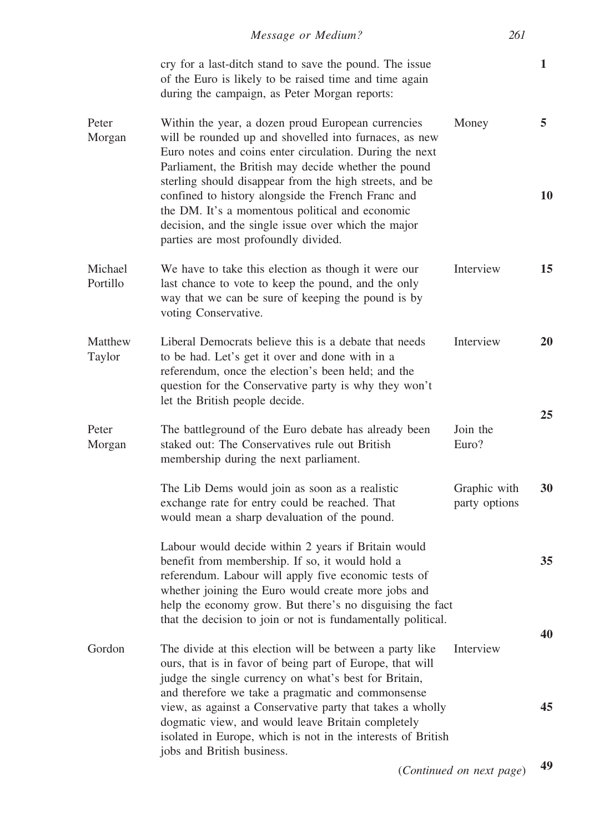|                     | Message or Medium?                                                                                                                                                                                                                                                                                                                                                                                                                                                                                 | 261                           |          |
|---------------------|----------------------------------------------------------------------------------------------------------------------------------------------------------------------------------------------------------------------------------------------------------------------------------------------------------------------------------------------------------------------------------------------------------------------------------------------------------------------------------------------------|-------------------------------|----------|
|                     | cry for a last-ditch stand to save the pound. The issue<br>of the Euro is likely to be raised time and time again<br>during the campaign, as Peter Morgan reports:                                                                                                                                                                                                                                                                                                                                 |                               | 1        |
| Peter<br>Morgan     | Within the year, a dozen proud European currencies<br>will be rounded up and shovelled into furnaces, as new<br>Euro notes and coins enter circulation. During the next<br>Parliament, the British may decide whether the pound<br>sterling should disappear from the high streets, and be<br>confined to history alongside the French Franc and<br>the DM. It's a momentous political and economic<br>decision, and the single issue over which the major<br>parties are most profoundly divided. | Money                         | 5<br>10  |
| Michael<br>Portillo | We have to take this election as though it were our<br>last chance to vote to keep the pound, and the only<br>way that we can be sure of keeping the pound is by<br>voting Conservative.                                                                                                                                                                                                                                                                                                           | Interview                     | 15       |
| Matthew<br>Taylor   | Liberal Democrats believe this is a debate that needs<br>to be had. Let's get it over and done with in a<br>referendum, once the election's been held; and the<br>question for the Conservative party is why they won't<br>let the British people decide.                                                                                                                                                                                                                                          | Interview                     | 20       |
| Peter<br>Morgan     | The battleground of the Euro debate has already been<br>staked out: The Conservatives rule out British<br>membership during the next parliament.                                                                                                                                                                                                                                                                                                                                                   | Join the<br>Euro?             | 25       |
|                     | The Lib Dems would join as soon as a realistic<br>exchange rate for entry could be reached. That<br>would mean a sharp devaluation of the pound.                                                                                                                                                                                                                                                                                                                                                   | Graphic with<br>party options | 30       |
|                     | Labour would decide within 2 years if Britain would<br>benefit from membership. If so, it would hold a<br>referendum. Labour will apply five economic tests of<br>whether joining the Euro would create more jobs and<br>help the economy grow. But there's no disguising the fact<br>that the decision to join or not is fundamentally political.                                                                                                                                                 |                               | 35       |
| Gordon              | The divide at this election will be between a party like<br>ours, that is in favor of being part of Europe, that will<br>judge the single currency on what's best for Britain,<br>and therefore we take a pragmatic and commonsense<br>view, as against a Conservative party that takes a wholly<br>dogmatic view, and would leave Britain completely<br>isolated in Europe, which is not in the interests of British<br>jobs and British business.                                                | Interview                     | 40<br>45 |
|                     |                                                                                                                                                                                                                                                                                                                                                                                                                                                                                                    | (Continued on next page)      | 49       |